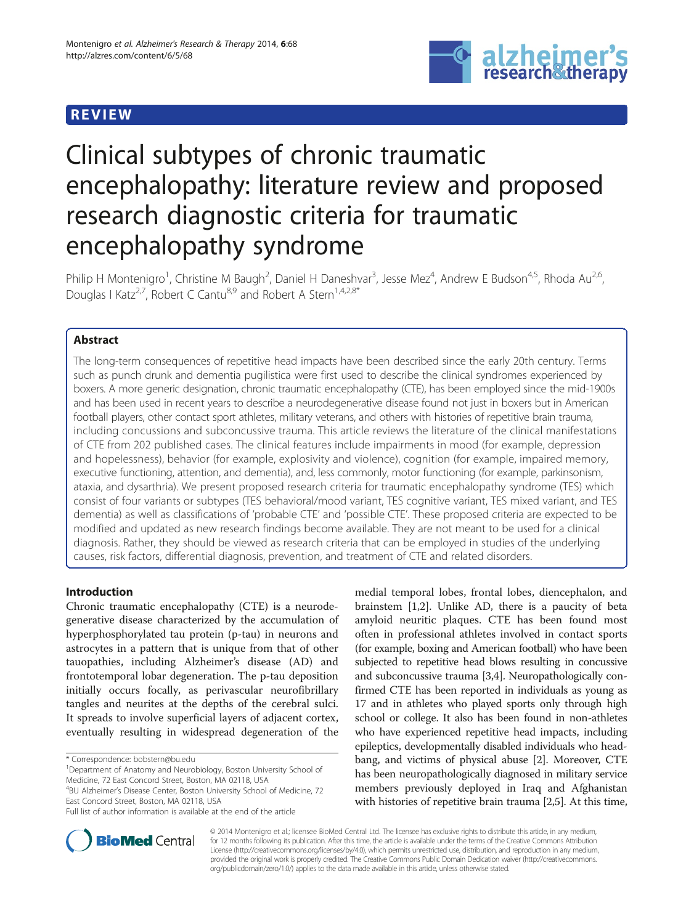# REVIEW



# Clinical subtypes of chronic traumatic encephalopathy: literature review and proposed research diagnostic criteria for traumatic encephalopathy syndrome

Philip H Montenigro<sup>1</sup>, Christine M Baugh<sup>2</sup>, Daniel H Daneshvar<sup>3</sup>, Jesse Mez<sup>4</sup>, Andrew E Budson<sup>4,5</sup>, Rhoda Au<sup>2,6</sup>, Douglas I Katz<sup>2,7</sup>, Robert C Cantu<sup>8,9</sup> and Robert A Stern<sup>1,4,2,8\*</sup>

## Abstract

The long-term consequences of repetitive head impacts have been described since the early 20th century. Terms such as punch drunk and dementia pugilistica were first used to describe the clinical syndromes experienced by boxers. A more generic designation, chronic traumatic encephalopathy (CTE), has been employed since the mid-1900s and has been used in recent years to describe a neurodegenerative disease found not just in boxers but in American football players, other contact sport athletes, military veterans, and others with histories of repetitive brain trauma, including concussions and subconcussive trauma. This article reviews the literature of the clinical manifestations of CTE from 202 published cases. The clinical features include impairments in mood (for example, depression and hopelessness), behavior (for example, explosivity and violence), cognition (for example, impaired memory, executive functioning, attention, and dementia), and, less commonly, motor functioning (for example, parkinsonism, ataxia, and dysarthria). We present proposed research criteria for traumatic encephalopathy syndrome (TES) which consist of four variants or subtypes (TES behavioral/mood variant, TES cognitive variant, TES mixed variant, and TES dementia) as well as classifications of 'probable CTE' and 'possible CTE'. These proposed criteria are expected to be modified and updated as new research findings become available. They are not meant to be used for a clinical diagnosis. Rather, they should be viewed as research criteria that can be employed in studies of the underlying causes, risk factors, differential diagnosis, prevention, and treatment of CTE and related disorders.

## Introduction

Chronic traumatic encephalopathy (CTE) is a neurodegenerative disease characterized by the accumulation of hyperphosphorylated tau protein (p-tau) in neurons and astrocytes in a pattern that is unique from that of other tauopathies, including Alzheimer's disease (AD) and frontotemporal lobar degeneration. The p-tau deposition initially occurs focally, as perivascular neurofibrillary tangles and neurites at the depths of the cerebral sulci. It spreads to involve superficial layers of adjacent cortex, eventually resulting in widespread degeneration of the

<sup>1</sup>Department of Anatomy and Neurobiology, Boston University School of Medicine, 72 East Concord Street, Boston, MA 02118, USA 4 BU Alzheimer's Disease Center, Boston University School of Medicine, 72

East Concord Street, Boston, MA 02118, USA

medial temporal lobes, frontal lobes, diencephalon, and brainstem [\[1,2](#page-15-0)]. Unlike AD, there is a paucity of beta amyloid neuritic plaques. CTE has been found most often in professional athletes involved in contact sports (for example, boxing and American football) who have been subjected to repetitive head blows resulting in concussive and subconcussive trauma [[3,4\]](#page-15-0). Neuropathologically confirmed CTE has been reported in individuals as young as 17 and in athletes who played sports only through high school or college. It also has been found in non-athletes who have experienced repetitive head impacts, including epileptics, developmentally disabled individuals who headbang, and victims of physical abuse [[2\]](#page-15-0). Moreover, CTE has been neuropathologically diagnosed in military service members previously deployed in Iraq and Afghanistan with histories of repetitive brain trauma [\[2,5](#page-15-0)]. At this time,



© 2014 Montenigro et al.; licensee BioMed Central Ltd. The licensee has exclusive rights to distribute this article, in any medium, for 12 months following its publication. After this time, the article is available under the terms of the Creative Commons Attribution License [\(http://creativecommons.org/licenses/by/4.0\)](http://creativecommons.org/licenses/by/4.0), which permits unrestricted use, distribution, and reproduction in any medium, provided the original work is properly credited. The Creative Commons Public Domain Dedication waiver [\(http://creativecommons.](http://creativecommons.org/publicdomain/zero/1.0/) [org/publicdomain/zero/1.0/](http://creativecommons.org/publicdomain/zero/1.0/)) applies to the data made available in this article, unless otherwise stated.

<sup>\*</sup> Correspondence: [bobstern@bu.edu](mailto:bobstern@bu.edu) <sup>1</sup>

Full list of author information is available at the end of the article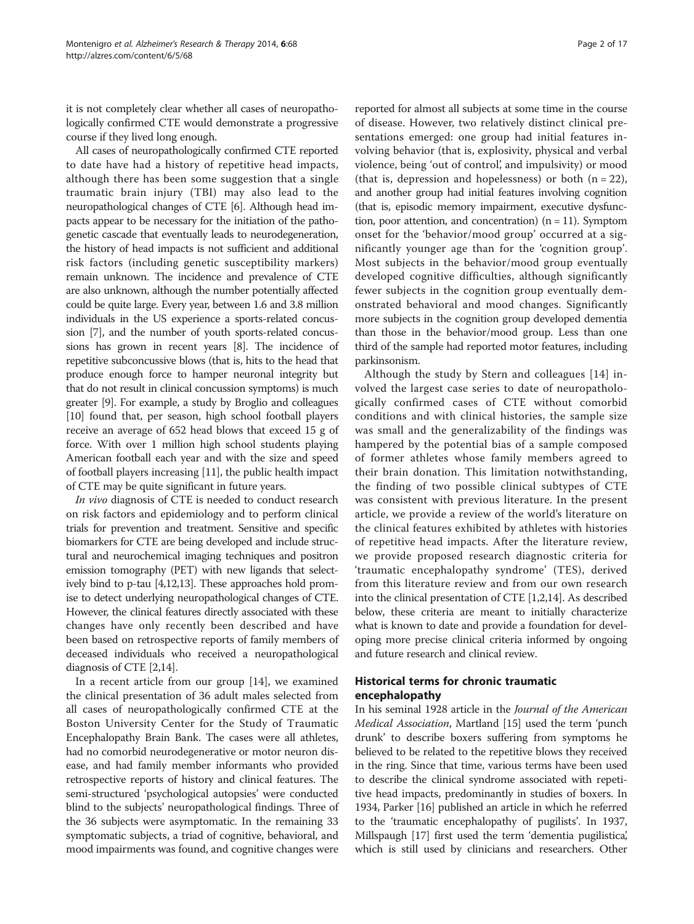it is not completely clear whether all cases of neuropathologically confirmed CTE would demonstrate a progressive course if they lived long enough.

All cases of neuropathologically confirmed CTE reported to date have had a history of repetitive head impacts, although there has been some suggestion that a single traumatic brain injury (TBI) may also lead to the neuropathological changes of CTE [\[6\]](#page-15-0). Although head impacts appear to be necessary for the initiation of the pathogenetic cascade that eventually leads to neurodegeneration, the history of head impacts is not sufficient and additional risk factors (including genetic susceptibility markers) remain unknown. The incidence and prevalence of CTE are also unknown, although the number potentially affected could be quite large. Every year, between 1.6 and 3.8 million individuals in the US experience a sports-related concussion [\[7\]](#page-15-0), and the number of youth sports-related concussions has grown in recent years [\[8\]](#page-15-0). The incidence of repetitive subconcussive blows (that is, hits to the head that produce enough force to hamper neuronal integrity but that do not result in clinical concussion symptoms) is much greater [\[9\]](#page-15-0). For example, a study by Broglio and colleagues [[10](#page-15-0)] found that, per season, high school football players receive an average of 652 head blows that exceed 15 g of force. With over 1 million high school students playing American football each year and with the size and speed of football players increasing [\[11\]](#page-15-0), the public health impact of CTE may be quite significant in future years.

In vivo diagnosis of CTE is needed to conduct research on risk factors and epidemiology and to perform clinical trials for prevention and treatment. Sensitive and specific biomarkers for CTE are being developed and include structural and neurochemical imaging techniques and positron emission tomography (PET) with new ligands that selectively bind to p-tau [[4,12,13](#page-15-0)]. These approaches hold promise to detect underlying neuropathological changes of CTE. However, the clinical features directly associated with these changes have only recently been described and have been based on retrospective reports of family members of deceased individuals who received a neuropathological diagnosis of CTE [[2,14](#page-15-0)].

In a recent article from our group [[14\]](#page-15-0), we examined the clinical presentation of 36 adult males selected from all cases of neuropathologically confirmed CTE at the Boston University Center for the Study of Traumatic Encephalopathy Brain Bank. The cases were all athletes, had no comorbid neurodegenerative or motor neuron disease, and had family member informants who provided retrospective reports of history and clinical features. The semi-structured 'psychological autopsies' were conducted blind to the subjects' neuropathological findings. Three of the 36 subjects were asymptomatic. In the remaining 33 symptomatic subjects, a triad of cognitive, behavioral, and mood impairments was found, and cognitive changes were

reported for almost all subjects at some time in the course of disease. However, two relatively distinct clinical presentations emerged: one group had initial features involving behavior (that is, explosivity, physical and verbal violence, being 'out of control', and impulsivity) or mood (that is, depression and hopelessness) or both  $(n = 22)$ , and another group had initial features involving cognition (that is, episodic memory impairment, executive dysfunction, poor attention, and concentration)  $(n = 11)$ . Symptom onset for the 'behavior/mood group' occurred at a significantly younger age than for the 'cognition group'. Most subjects in the behavior/mood group eventually developed cognitive difficulties, although significantly fewer subjects in the cognition group eventually demonstrated behavioral and mood changes. Significantly more subjects in the cognition group developed dementia than those in the behavior/mood group. Less than one third of the sample had reported motor features, including parkinsonism.

Although the study by Stern and colleagues [\[14\]](#page-15-0) involved the largest case series to date of neuropathologically confirmed cases of CTE without comorbid conditions and with clinical histories, the sample size was small and the generalizability of the findings was hampered by the potential bias of a sample composed of former athletes whose family members agreed to their brain donation. This limitation notwithstanding, the finding of two possible clinical subtypes of CTE was consistent with previous literature. In the present article, we provide a review of the world's literature on the clinical features exhibited by athletes with histories of repetitive head impacts. After the literature review, we provide proposed research diagnostic criteria for 'traumatic encephalopathy syndrome' (TES), derived from this literature review and from our own research into the clinical presentation of CTE [\[1,2,14\]](#page-15-0). As described below, these criteria are meant to initially characterize what is known to date and provide a foundation for developing more precise clinical criteria informed by ongoing and future research and clinical review.

## Historical terms for chronic traumatic encephalopathy

In his seminal 1928 article in the Journal of the American Medical Association, Martland [[15](#page-15-0)] used the term 'punch drunk' to describe boxers suffering from symptoms he believed to be related to the repetitive blows they received in the ring. Since that time, various terms have been used to describe the clinical syndrome associated with repetitive head impacts, predominantly in studies of boxers. In 1934, Parker [[16](#page-15-0)] published an article in which he referred to the 'traumatic encephalopathy of pugilists'. In 1937, Millspaugh [\[17\]](#page-15-0) first used the term 'dementia pugilistica', which is still used by clinicians and researchers. Other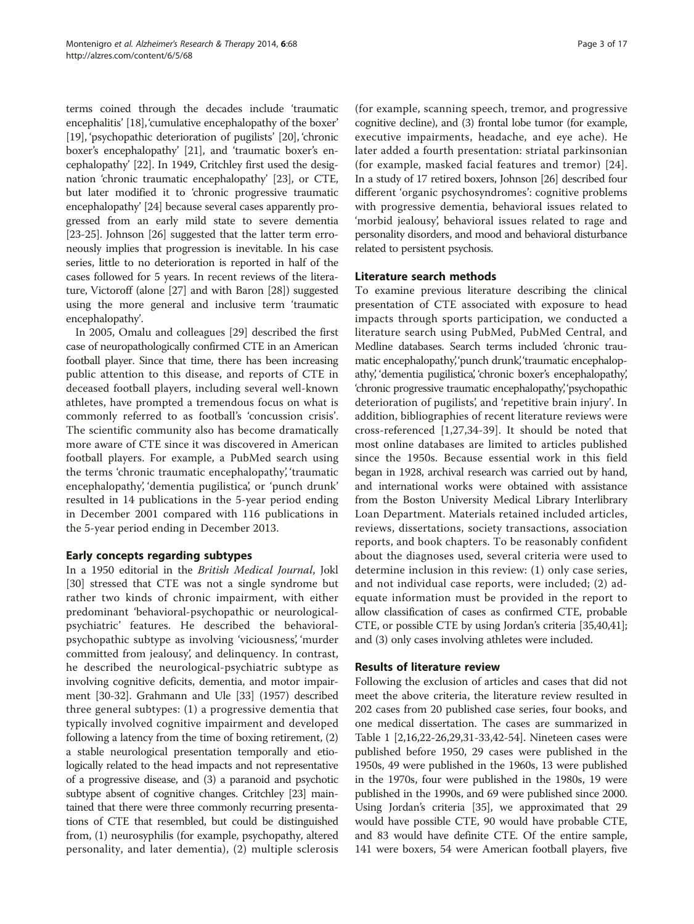terms coined through the decades include 'traumatic encephalitis' [\[18\]](#page-15-0),'cumulative encephalopathy of the boxer' [[19](#page-15-0)], 'psychopathic deterioration of pugilists' [\[20\]](#page-15-0), 'chronic boxer's encephalopathy' [\[21\]](#page-15-0), and 'traumatic boxer's encephalopathy' [[22](#page-15-0)]. In 1949, Critchley first used the designation 'chronic traumatic encephalopathy' [\[23\]](#page-15-0), or CTE, but later modified it to 'chronic progressive traumatic encephalopathy' [[24](#page-15-0)] because several cases apparently progressed from an early mild state to severe dementia [[23](#page-15-0)-[25\]](#page-16-0). Johnson [\[26\]](#page-16-0) suggested that the latter term erroneously implies that progression is inevitable. In his case series, little to no deterioration is reported in half of the cases followed for 5 years. In recent reviews of the literature, Victoroff (alone [[27](#page-16-0)] and with Baron [[28](#page-16-0)]) suggested using the more general and inclusive term 'traumatic encephalopathy'.

In 2005, Omalu and colleagues [[29\]](#page-16-0) described the first case of neuropathologically confirmed CTE in an American football player. Since that time, there has been increasing public attention to this disease, and reports of CTE in deceased football players, including several well-known athletes, have prompted a tremendous focus on what is commonly referred to as football's 'concussion crisis'. The scientific community also has become dramatically more aware of CTE since it was discovered in American football players. For example, a PubMed search using the terms 'chronic traumatic encephalopathy', 'traumatic encephalopathy', 'dementia pugilistica', or 'punch drunk' resulted in 14 publications in the 5-year period ending in December 2001 compared with 116 publications in the 5-year period ending in December 2013.

## Early concepts regarding subtypes

In a 1950 editorial in the British Medical Journal, Jokl [[30\]](#page-16-0) stressed that CTE was not a single syndrome but rather two kinds of chronic impairment, with either predominant 'behavioral-psychopathic or neurologicalpsychiatric' features. He described the behavioralpsychopathic subtype as involving 'viciousness', 'murder committed from jealousy', and delinquency. In contrast, he described the neurological-psychiatric subtype as involving cognitive deficits, dementia, and motor impairment [\[30-32\]](#page-16-0). Grahmann and Ule [[33](#page-16-0)] (1957) described three general subtypes: (1) a progressive dementia that typically involved cognitive impairment and developed following a latency from the time of boxing retirement, (2) a stable neurological presentation temporally and etiologically related to the head impacts and not representative of a progressive disease, and (3) a paranoid and psychotic subtype absent of cognitive changes. Critchley [[23](#page-15-0)] maintained that there were three commonly recurring presentations of CTE that resembled, but could be distinguished from, (1) neurosyphilis (for example, psychopathy, altered personality, and later dementia), (2) multiple sclerosis

(for example, scanning speech, tremor, and progressive cognitive decline), and (3) frontal lobe tumor (for example, executive impairments, headache, and eye ache). He later added a fourth presentation: striatal parkinsonian (for example, masked facial features and tremor) [[24](#page-15-0)]. In a study of 17 retired boxers, Johnson [\[26](#page-16-0)] described four different 'organic psychosyndromes': cognitive problems with progressive dementia, behavioral issues related to 'morbid jealousy', behavioral issues related to rage and personality disorders, and mood and behavioral disturbance related to persistent psychosis.

## Literature search methods

To examine previous literature describing the clinical presentation of CTE associated with exposure to head impacts through sports participation, we conducted a literature search using PubMed, PubMed Central, and Medline databases. Search terms included 'chronic traumatic encephalopathy, 'punch drunk,' traumatic encephalopathy,' 'dementia pugilistica,' 'chronic boxer's encephalopathy,' 'chronic progressive traumatic encephalopathy,' 'psychopathic deterioration of pugilists', and 'repetitive brain injury'. In addition, bibliographies of recent literature reviews were cross-referenced [[1,](#page-15-0)[27,34](#page-16-0)-[39\]](#page-16-0). It should be noted that most online databases are limited to articles published since the 1950s. Because essential work in this field began in 1928, archival research was carried out by hand, and international works were obtained with assistance from the Boston University Medical Library Interlibrary Loan Department. Materials retained included articles, reviews, dissertations, society transactions, association reports, and book chapters. To be reasonably confident about the diagnoses used, several criteria were used to determine inclusion in this review: (1) only case series, and not individual case reports, were included; (2) adequate information must be provided in the report to allow classification of cases as confirmed CTE, probable CTE, or possible CTE by using Jordan's criteria [\[35,40,41](#page-16-0)]; and (3) only cases involving athletes were included.

#### Results of literature review

Following the exclusion of articles and cases that did not meet the above criteria, the literature review resulted in 202 cases from 20 published case series, four books, and one medical dissertation. The cases are summarized in Table [1](#page-3-0) [\[2,16,22](#page-15-0)-[26,29](#page-16-0),[31](#page-16-0)-[33,42-54](#page-16-0)]. Nineteen cases were published before 1950, 29 cases were published in the 1950s, 49 were published in the 1960s, 13 were published in the 1970s, four were published in the 1980s, 19 were published in the 1990s, and 69 were published since 2000. Using Jordan's criteria [\[35\]](#page-16-0), we approximated that 29 would have possible CTE, 90 would have probable CTE, and 83 would have definite CTE. Of the entire sample, 141 were boxers, 54 were American football players, five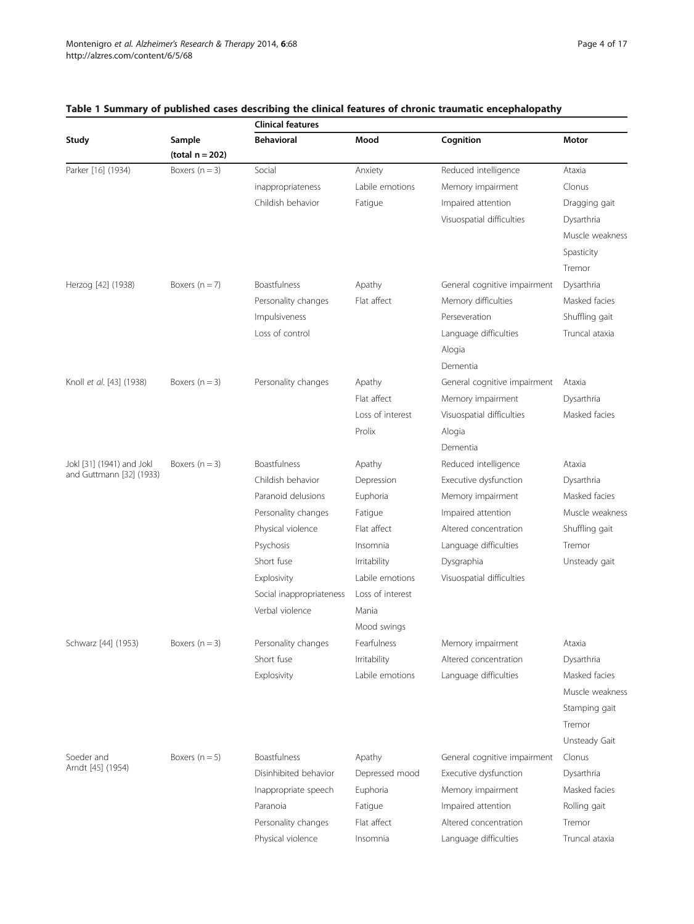| Study                     | Sample             | <b>Clinical features</b> |                  |                              |                 |  |
|---------------------------|--------------------|--------------------------|------------------|------------------------------|-----------------|--|
|                           |                    | <b>Behavioral</b>        | Mood             | Cognition                    | Motor           |  |
|                           | (total $n = 202$ ) |                          |                  |                              |                 |  |
| Parker [16] (1934)        | Boxers $(n = 3)$   | Social                   | Anxiety          | Reduced intelligence         | Ataxia          |  |
|                           |                    | inappropriateness        | Labile emotions  | Memory impairment            | Clonus          |  |
|                           |                    | Childish behavior        | Fatigue          | Impaired attention           | Dragging gait   |  |
|                           |                    |                          |                  | Visuospatial difficulties    | Dysarthria      |  |
|                           |                    |                          |                  |                              | Muscle weakness |  |
|                           |                    |                          |                  |                              | Spasticity      |  |
|                           |                    |                          |                  |                              | Tremor          |  |
| Herzog [42] (1938)        | Boxers $(n = 7)$   | <b>Boastfulness</b>      | Apathy           | General cognitive impairment | Dysarthria      |  |
|                           |                    | Personality changes      | Flat affect      | Memory difficulties          | Masked facies   |  |
|                           |                    | Impulsiveness            |                  | Perseveration                | Shuffling gait  |  |
|                           |                    | Loss of control          |                  | Language difficulties        | Truncal ataxia  |  |
|                           |                    |                          |                  | Alogia<br>Dementia           |                 |  |
| Knoll et al. [43] (1938)  | Boxers $(n = 3)$   | Personality changes      | Apathy           | General cognitive impairment | Ataxia          |  |
|                           |                    |                          | Flat affect      | Memory impairment            | Dysarthria      |  |
|                           |                    |                          | Loss of interest | Visuospatial difficulties    | Masked facies   |  |
|                           |                    |                          | Prolix           | Alogia                       |                 |  |
|                           |                    |                          |                  | Dementia                     |                 |  |
| Jokl [31] (1941) and Jokl | Boxers $(n = 3)$   | <b>Boastfulness</b>      | Apathy           | Reduced intelligence         | Ataxia          |  |
| and Guttmann [32] (1933)  |                    | Childish behavior        | Depression       | Executive dysfunction        | Dysarthria      |  |
|                           |                    | Paranoid delusions       | Euphoria         | Memory impairment            | Masked facies   |  |
|                           |                    | Personality changes      | Fatigue          | Impaired attention           | Muscle weakness |  |
|                           |                    | Physical violence        | Flat affect      | Altered concentration        | Shuffling gait  |  |
|                           |                    | Psychosis                | Insomnia         | Language difficulties        | Tremor          |  |
|                           |                    | Short fuse               | Irritability     | Dysgraphia                   | Unsteady gait   |  |
|                           |                    | Explosivity              | Labile emotions  | Visuospatial difficulties    |                 |  |
|                           |                    | Social inappropriateness | Loss of interest |                              |                 |  |
|                           |                    | Verbal violence          | Mania            |                              |                 |  |
|                           |                    |                          | Mood swings      |                              |                 |  |
| Schwarz [44] (1953)       | Boxers $(n = 3)$   | Personality changes      | Fearfulness      | Memory impairment            | Ataxia          |  |
|                           |                    | Short fuse               | Irritability     | Altered concentration        | Dysarthria      |  |
|                           |                    | Explosivity              | Labile emotions  | Language difficulties        | Masked facies   |  |
|                           |                    |                          |                  |                              | Muscle weakness |  |
|                           |                    |                          |                  |                              | Stamping gait   |  |
|                           |                    |                          |                  |                              | Tremor          |  |
|                           |                    |                          |                  |                              | Unsteady Gait   |  |
| Soeder and                | Boxers $(n = 5)$   | <b>Boastfulness</b>      | Apathy           | General cognitive impairment | Clonus          |  |
| Arndt [45] (1954)         |                    | Disinhibited behavior    | Depressed mood   | Executive dysfunction        | Dysarthria      |  |
|                           |                    | Inappropriate speech     | Euphoria         | Memory impairment            | Masked facies   |  |
|                           |                    | Paranoia                 | Fatigue          | Impaired attention           | Rolling gait    |  |
|                           |                    | Personality changes      | Flat affect      | Altered concentration        | Tremor          |  |
|                           |                    | Physical violence        | Insomnia         | Language difficulties        | Truncal ataxia  |  |
|                           |                    |                          |                  |                              |                 |  |

# <span id="page-3-0"></span>Table 1 Summary of published cases describing the clinical features of chronic traumatic encephalopathy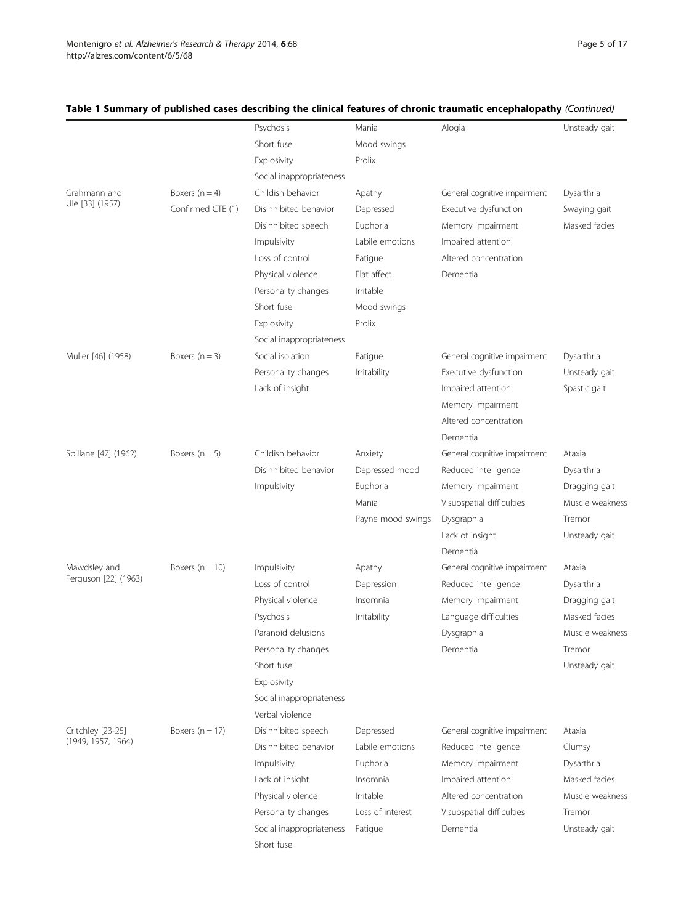# Table 1 Summary of published cases describing the clinical features of chronic traumatic encephalopathy (Continued)

|                      |                   | Psychosis                | Mania             | Alogia                       | Unsteady gait   |
|----------------------|-------------------|--------------------------|-------------------|------------------------------|-----------------|
|                      |                   | Short fuse               | Mood swings       |                              |                 |
|                      |                   | Explosivity              | Prolix            |                              |                 |
|                      |                   | Social inappropriateness |                   |                              |                 |
| Grahmann and         | Boxers $(n = 4)$  | Childish behavior        | Apathy            | General cognitive impairment | Dysarthria      |
| Ule [33] (1957)      | Confirmed CTE (1) | Disinhibited behavior    | Depressed         | Executive dysfunction        | Swaying gait    |
|                      |                   | Disinhibited speech      | Euphoria          | Memory impairment            | Masked facies   |
|                      |                   | Impulsivity              | Labile emotions   | Impaired attention           |                 |
|                      |                   | Loss of control          | Fatigue           | Altered concentration        |                 |
|                      |                   | Physical violence        | Flat affect       | Dementia                     |                 |
|                      |                   | Personality changes      | Irritable         |                              |                 |
|                      |                   | Short fuse               | Mood swings       |                              |                 |
|                      |                   | Explosivity              | Prolix            |                              |                 |
|                      |                   | Social inappropriateness |                   |                              |                 |
| Muller [46] (1958)   | Boxers $(n = 3)$  | Social isolation         | Fatigue           | General cognitive impairment | Dysarthria      |
|                      |                   | Personality changes      | Irritability      | Executive dysfunction        | Unsteady gait   |
|                      |                   | Lack of insight          |                   | Impaired attention           | Spastic gait    |
|                      |                   |                          |                   | Memory impairment            |                 |
|                      |                   |                          |                   | Altered concentration        |                 |
|                      |                   |                          |                   | Dementia                     |                 |
| Spillane [47] (1962) | Boxers $(n = 5)$  | Childish behavior        | Anxiety           | General cognitive impairment | Ataxia          |
|                      |                   | Disinhibited behavior    | Depressed mood    | Reduced intelligence         | Dysarthria      |
|                      |                   | Impulsivity              | Euphoria          | Memory impairment            | Dragging gait   |
|                      |                   |                          | Mania             | Visuospatial difficulties    | Muscle weakness |
|                      |                   |                          | Payne mood swings | Dysgraphia                   | Tremor          |
|                      |                   |                          |                   | Lack of insight              | Unsteady gait   |
|                      |                   |                          |                   | Dementia                     |                 |
| Mawdsley and         | Boxers $(n = 10)$ | Impulsivity              | Apathy            | General cognitive impairment | Ataxia          |
| Ferguson [22] (1963) |                   | Loss of control          | Depression        | Reduced intelligence         | Dysarthria      |
|                      |                   | Physical violence        | Insomnia          | Memory impairment            | Dragging gait   |
|                      |                   | Psychosis                | Irritability      | Language difficulties        | Masked facies   |
|                      |                   | Paranoid delusions       |                   | Dysgraphia                   | Muscle weakness |
|                      |                   | Personality changes      |                   | Dementia                     | Tremor          |
|                      |                   | Short fuse               |                   |                              | Unsteady gait   |
|                      |                   | Explosivity              |                   |                              |                 |
|                      |                   | Social inappropriateness |                   |                              |                 |
|                      |                   | Verbal violence          |                   |                              |                 |
| Critchley [23-25]    | Boxers $(n = 17)$ | Disinhibited speech      | Depressed         | General cognitive impairment | Ataxia          |
| (1949, 1957, 1964)   |                   | Disinhibited behavior    | Labile emotions   | Reduced intelligence         | Clumsy          |
|                      |                   | Impulsivity              | Euphoria          | Memory impairment            | Dysarthria      |
|                      |                   | Lack of insight          | Insomnia          | Impaired attention           | Masked facies   |
|                      |                   | Physical violence        | Irritable         | Altered concentration        | Muscle weakness |
|                      |                   | Personality changes      | Loss of interest  | Visuospatial difficulties    | Tremor          |
|                      |                   | Social inappropriateness | Fatigue           | Dementia                     | Unsteady gait   |
|                      |                   | Short fuse               |                   |                              |                 |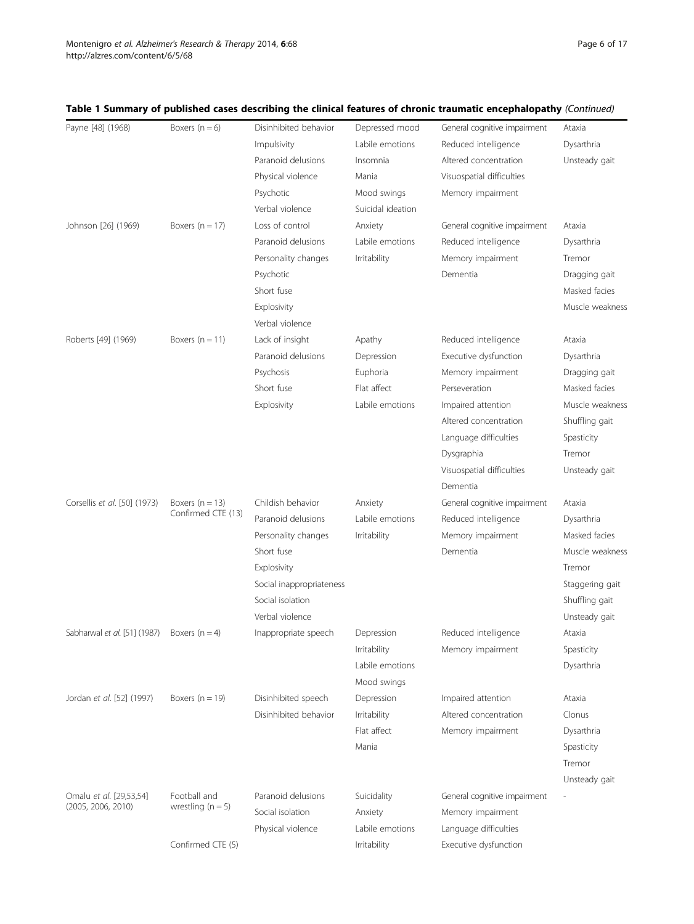# Table 1 Summary of published cases describing the clinical features of chronic traumatic encephalopathy (Continued)

| Payne [48] (1968)            | Boxers $(n = 6)$                    | Disinhibited behavior    | Depressed mood    | General cognitive impairment | Ataxia          |
|------------------------------|-------------------------------------|--------------------------|-------------------|------------------------------|-----------------|
|                              |                                     | Impulsivity              | Labile emotions   | Reduced intelligence         | Dysarthria      |
|                              |                                     | Paranoid delusions       | Insomnia          | Altered concentration        | Unsteady gait   |
|                              |                                     | Physical violence        | Mania             | Visuospatial difficulties    |                 |
|                              |                                     | Psychotic                | Mood swings       | Memory impairment            |                 |
|                              |                                     | Verbal violence          | Suicidal ideation |                              |                 |
| Johnson [26] (1969)          | Boxers $(n = 17)$                   | Loss of control          | Anxiety           | General cognitive impairment | Ataxia          |
|                              |                                     | Paranoid delusions       | Labile emotions   | Reduced intelligence         | Dysarthria      |
|                              |                                     | Personality changes      | Irritability      | Memory impairment            | Tremor          |
|                              |                                     | Psychotic                |                   | Dementia                     | Dragging gait   |
|                              |                                     | Short fuse               |                   |                              | Masked facies   |
|                              |                                     | Explosivity              |                   |                              | Muscle weakness |
|                              |                                     | Verbal violence          |                   |                              |                 |
| Roberts [49] (1969)          | Boxers $(n = 11)$                   | Lack of insight          | Apathy            | Reduced intelligence         | Ataxia          |
|                              |                                     | Paranoid delusions       | Depression        | Executive dysfunction        | Dysarthria      |
|                              |                                     | Psychosis                | Euphoria          | Memory impairment            | Dragging gait   |
|                              |                                     | Short fuse               | Flat affect       | Perseveration                | Masked facies   |
|                              |                                     | Explosivity              | Labile emotions   | Impaired attention           | Muscle weakness |
|                              |                                     |                          |                   | Altered concentration        | Shuffling gait  |
|                              |                                     |                          |                   | Language difficulties        | Spasticity      |
|                              |                                     |                          |                   | Dysgraphia                   | Tremor          |
|                              |                                     |                          |                   | Visuospatial difficulties    | Unsteady gait   |
|                              |                                     |                          |                   | Dementia                     |                 |
| Corsellis et al. [50] (1973) | Boxers $(n = 13)$                   | Childish behavior        | Anxiety           | General cognitive impairment | Ataxia          |
|                              | Confirmed CTE (13)                  | Paranoid delusions       | Labile emotions   | Reduced intelligence         | Dysarthria      |
|                              |                                     | Personality changes      | Irritability      | Memory impairment            | Masked facies   |
|                              |                                     | Short fuse               |                   | Dementia                     | Muscle weakness |
|                              |                                     | Explosivity              |                   |                              | Tremor          |
|                              |                                     | Social inappropriateness |                   |                              | Staggering gait |
|                              |                                     | Social isolation         |                   |                              | Shuffling gait  |
|                              |                                     | Verbal violence          |                   |                              | Unsteady gait   |
| Sabharwal et al. [51] (1987) | Boxers $(n = 4)$                    | Inappropriate speech     | Depression        | Reduced intelligence         | Ataxia          |
|                              |                                     |                          | Irritability      | Memory impairment            | Spasticity      |
|                              |                                     |                          | Labile emotions   |                              | Dysarthria      |
|                              |                                     |                          | Mood swings       |                              |                 |
| Jordan et al. [52] (1997)    | Boxers $(n = 19)$                   | Disinhibited speech      | Depression        | Impaired attention           | Ataxia          |
|                              |                                     | Disinhibited behavior    | Irritability      | Altered concentration        | Clonus          |
|                              |                                     |                          | Flat affect       | Memory impairment            | Dysarthria      |
|                              |                                     |                          | Mania             |                              | Spasticity      |
|                              |                                     |                          |                   |                              | Tremor          |
|                              |                                     |                          |                   |                              | Unsteady gait   |
| Omalu et al. [29,53,54]      | Football and<br>wrestling $(n = 5)$ | Paranoid delusions       | Suicidality       | General cognitive impairment |                 |
| (2005, 2006, 2010)           |                                     | Social isolation         | Anxiety           | Memory impairment            |                 |
|                              |                                     | Physical violence        | Labile emotions   | Language difficulties        |                 |
|                              | Confirmed CTE (5)                   |                          | Irritability      | Executive dysfunction        |                 |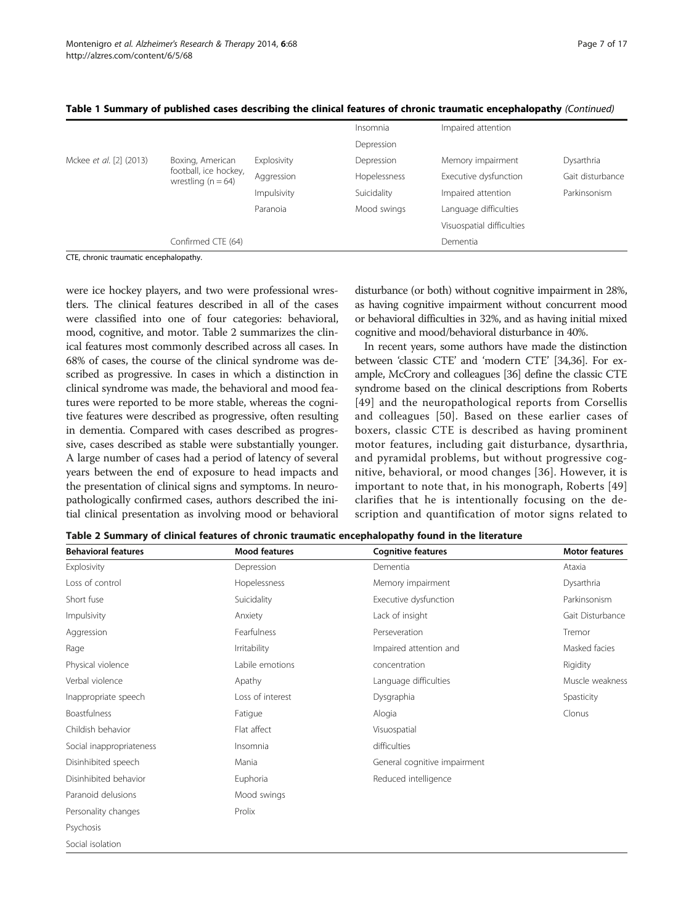|                         |                                                                   |             | Insomnia     | Impaired attention        |                  |
|-------------------------|-------------------------------------------------------------------|-------------|--------------|---------------------------|------------------|
|                         |                                                                   |             | Depression   |                           |                  |
| Mckee et al. [2] (2013) | Boxing, American<br>football, ice hockey,<br>wrestling $(n = 64)$ | Explosivity | Depression   | Memory impairment         | Dysarthria       |
|                         |                                                                   | Aggression  | Hopelessness | Executive dysfunction     | Gait disturbance |
|                         |                                                                   | Impulsivity | Suicidality  | Impaired attention        | Parkinsonism     |
|                         |                                                                   | Paranoia    | Mood swings  | Language difficulties     |                  |
|                         |                                                                   |             |              | Visuospatial difficulties |                  |
|                         | Confirmed CTE (64)                                                |             |              | Dementia                  |                  |

Table 1 Summary of published cases describing the clinical features of chronic traumatic encephalopathy (Continued)

CTE, chronic traumatic encephalopathy.

were ice hockey players, and two were professional wrestlers. The clinical features described in all of the cases were classified into one of four categories: behavioral, mood, cognitive, and motor. Table 2 summarizes the clinical features most commonly described across all cases. In 68% of cases, the course of the clinical syndrome was described as progressive. In cases in which a distinction in clinical syndrome was made, the behavioral and mood features were reported to be more stable, whereas the cognitive features were described as progressive, often resulting in dementia. Compared with cases described as progressive, cases described as stable were substantially younger. A large number of cases had a period of latency of several years between the end of exposure to head impacts and the presentation of clinical signs and symptoms. In neuropathologically confirmed cases, authors described the initial clinical presentation as involving mood or behavioral disturbance (or both) without cognitive impairment in 28%, as having cognitive impairment without concurrent mood or behavioral difficulties in 32%, and as having initial mixed cognitive and mood/behavioral disturbance in 40%.

In recent years, some authors have made the distinction between 'classic CTE' and 'modern CTE' [\[34,36](#page-16-0)]. For example, McCrory and colleagues [\[36\]](#page-16-0) define the classic CTE syndrome based on the clinical descriptions from Roberts [[49](#page-16-0)] and the neuropathological reports from Corsellis and colleagues [\[50\]](#page-16-0). Based on these earlier cases of boxers, classic CTE is described as having prominent motor features, including gait disturbance, dysarthria, and pyramidal problems, but without progressive cognitive, behavioral, or mood changes [[36](#page-16-0)]. However, it is important to note that, in his monograph, Roberts [\[49](#page-16-0)] clarifies that he is intentionally focusing on the description and quantification of motor signs related to

Table 2 Summary of clinical features of chronic traumatic encephalopathy found in the literature

| <b>Behavioral features</b> | Mood features    | <b>Cognitive features</b>    | <b>Motor features</b> |
|----------------------------|------------------|------------------------------|-----------------------|
| Explosivity                | Depression       | Dementia                     | Ataxia                |
| Loss of control            | Hopelessness     | Memory impairment            | Dysarthria            |
| Short fuse                 | Suicidality      | Executive dysfunction        | Parkinsonism          |
| Impulsivity                | Anxiety          | Lack of insight              | Gait Disturbance      |
| Aggression                 | Fearfulness      | Perseveration                | Tremor                |
| Rage                       | Irritability     | Impaired attention and       | Masked facies         |
| Physical violence          | Labile emotions  | concentration                | Rigidity              |
| Verbal violence            | Apathy           | Language difficulties        | Muscle weakness       |
| Inappropriate speech       | Loss of interest | Dysgraphia                   | Spasticity            |
| Boastfulness               | Fatigue          | Alogia                       | Clonus                |
| Childish behavior          | Flat affect      | Visuospatial                 |                       |
| Social inappropriateness   | Insomnia         | difficulties                 |                       |
| Disinhibited speech        | Mania            | General cognitive impairment |                       |
| Disinhibited behavior      | Euphoria         | Reduced intelligence         |                       |
| Paranoid delusions         | Mood swings      |                              |                       |
| Personality changes        | Prolix           |                              |                       |
| Psychosis                  |                  |                              |                       |
| Social isolation           |                  |                              |                       |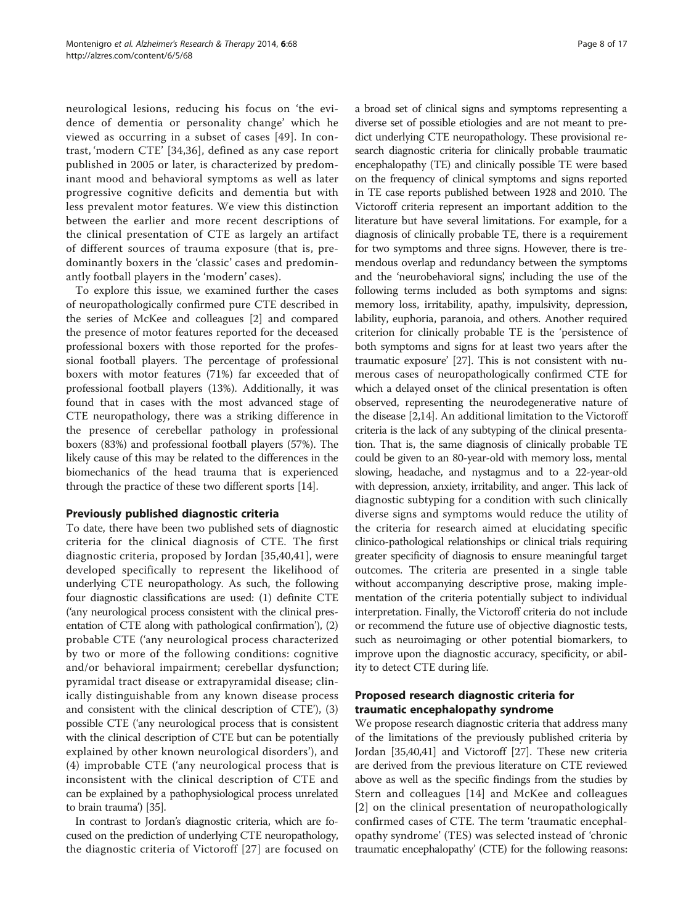neurological lesions, reducing his focus on 'the evidence of dementia or personality change' which he viewed as occurring in a subset of cases [[49](#page-16-0)]. In contrast, 'modern CTE' [[34](#page-16-0),[36\]](#page-16-0), defined as any case report published in 2005 or later, is characterized by predominant mood and behavioral symptoms as well as later progressive cognitive deficits and dementia but with less prevalent motor features. We view this distinction between the earlier and more recent descriptions of the clinical presentation of CTE as largely an artifact of different sources of trauma exposure (that is, predominantly boxers in the 'classic' cases and predominantly football players in the 'modern' cases).

To explore this issue, we examined further the cases of neuropathologically confirmed pure CTE described in the series of McKee and colleagues [\[2](#page-15-0)] and compared the presence of motor features reported for the deceased professional boxers with those reported for the professional football players. The percentage of professional boxers with motor features (71%) far exceeded that of professional football players (13%). Additionally, it was found that in cases with the most advanced stage of CTE neuropathology, there was a striking difference in the presence of cerebellar pathology in professional boxers (83%) and professional football players (57%). The likely cause of this may be related to the differences in the biomechanics of the head trauma that is experienced through the practice of these two different sports [\[14](#page-15-0)].

#### Previously published diagnostic criteria

To date, there have been two published sets of diagnostic criteria for the clinical diagnosis of CTE. The first diagnostic criteria, proposed by Jordan [[35,40,41](#page-16-0)], were developed specifically to represent the likelihood of underlying CTE neuropathology. As such, the following four diagnostic classifications are used: (1) definite CTE ('any neurological process consistent with the clinical presentation of CTE along with pathological confirmation'), (2) probable CTE ('any neurological process characterized by two or more of the following conditions: cognitive and/or behavioral impairment; cerebellar dysfunction; pyramidal tract disease or extrapyramidal disease; clinically distinguishable from any known disease process and consistent with the clinical description of CTE'), (3) possible CTE ('any neurological process that is consistent with the clinical description of CTE but can be potentially explained by other known neurological disorders'), and (4) improbable CTE ('any neurological process that is inconsistent with the clinical description of CTE and can be explained by a pathophysiological process unrelated to brain trauma') [\[35\]](#page-16-0).

In contrast to Jordan's diagnostic criteria, which are focused on the prediction of underlying CTE neuropathology, the diagnostic criteria of Victoroff [[27\]](#page-16-0) are focused on

a broad set of clinical signs and symptoms representing a diverse set of possible etiologies and are not meant to predict underlying CTE neuropathology. These provisional research diagnostic criteria for clinically probable traumatic encephalopathy (TE) and clinically possible TE were based on the frequency of clinical symptoms and signs reported in TE case reports published between 1928 and 2010. The Victoroff criteria represent an important addition to the literature but have several limitations. For example, for a diagnosis of clinically probable TE, there is a requirement for two symptoms and three signs. However, there is tremendous overlap and redundancy between the symptoms and the 'neurobehavioral signs', including the use of the following terms included as both symptoms and signs: memory loss, irritability, apathy, impulsivity, depression, lability, euphoria, paranoia, and others. Another required criterion for clinically probable TE is the 'persistence of both symptoms and signs for at least two years after the traumatic exposure' [[27](#page-16-0)]. This is not consistent with numerous cases of neuropathologically confirmed CTE for which a delayed onset of the clinical presentation is often observed, representing the neurodegenerative nature of the disease [[2,14](#page-15-0)]. An additional limitation to the Victoroff criteria is the lack of any subtyping of the clinical presentation. That is, the same diagnosis of clinically probable TE could be given to an 80-year-old with memory loss, mental slowing, headache, and nystagmus and to a 22-year-old with depression, anxiety, irritability, and anger. This lack of diagnostic subtyping for a condition with such clinically diverse signs and symptoms would reduce the utility of the criteria for research aimed at elucidating specific clinico-pathological relationships or clinical trials requiring greater specificity of diagnosis to ensure meaningful target outcomes. The criteria are presented in a single table without accompanying descriptive prose, making implementation of the criteria potentially subject to individual interpretation. Finally, the Victoroff criteria do not include or recommend the future use of objective diagnostic tests, such as neuroimaging or other potential biomarkers, to improve upon the diagnostic accuracy, specificity, or ability to detect CTE during life.

#### Proposed research diagnostic criteria for traumatic encephalopathy syndrome

We propose research diagnostic criteria that address many of the limitations of the previously published criteria by Jordan [[35,40,41\]](#page-16-0) and Victoroff [[27](#page-16-0)]. These new criteria are derived from the previous literature on CTE reviewed above as well as the specific findings from the studies by Stern and colleagues [[14](#page-15-0)] and McKee and colleagues [[2](#page-15-0)] on the clinical presentation of neuropathologically confirmed cases of CTE. The term 'traumatic encephalopathy syndrome' (TES) was selected instead of 'chronic traumatic encephalopathy' (CTE) for the following reasons: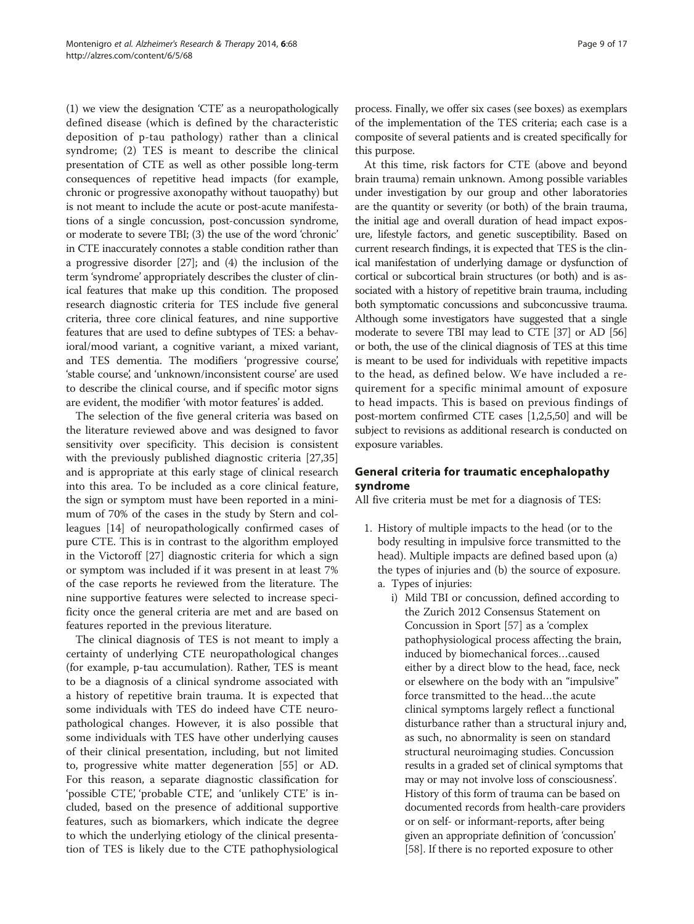(1) we view the designation 'CTE' as a neuropathologically defined disease (which is defined by the characteristic deposition of p-tau pathology) rather than a clinical syndrome; (2) TES is meant to describe the clinical presentation of CTE as well as other possible long-term consequences of repetitive head impacts (for example, chronic or progressive axonopathy without tauopathy) but is not meant to include the acute or post-acute manifestations of a single concussion, post-concussion syndrome, or moderate to severe TBI; (3) the use of the word 'chronic' in CTE inaccurately connotes a stable condition rather than a progressive disorder [[27](#page-16-0)]; and (4) the inclusion of the term 'syndrome' appropriately describes the cluster of clinical features that make up this condition. The proposed research diagnostic criteria for TES include five general criteria, three core clinical features, and nine supportive features that are used to define subtypes of TES: a behavioral/mood variant, a cognitive variant, a mixed variant, and TES dementia. The modifiers 'progressive course', 'stable course', and 'unknown/inconsistent course' are used to describe the clinical course, and if specific motor signs are evident, the modifier 'with motor features' is added.

The selection of the five general criteria was based on the literature reviewed above and was designed to favor sensitivity over specificity. This decision is consistent with the previously published diagnostic criteria [[27](#page-16-0),[35](#page-16-0)] and is appropriate at this early stage of clinical research into this area. To be included as a core clinical feature, the sign or symptom must have been reported in a minimum of 70% of the cases in the study by Stern and colleagues [\[14](#page-15-0)] of neuropathologically confirmed cases of pure CTE. This is in contrast to the algorithm employed in the Victoroff [[27\]](#page-16-0) diagnostic criteria for which a sign or symptom was included if it was present in at least 7% of the case reports he reviewed from the literature. The nine supportive features were selected to increase specificity once the general criteria are met and are based on features reported in the previous literature.

The clinical diagnosis of TES is not meant to imply a certainty of underlying CTE neuropathological changes (for example, p-tau accumulation). Rather, TES is meant to be a diagnosis of a clinical syndrome associated with a history of repetitive brain trauma. It is expected that some individuals with TES do indeed have CTE neuropathological changes. However, it is also possible that some individuals with TES have other underlying causes of their clinical presentation, including, but not limited to, progressive white matter degeneration [[55\]](#page-16-0) or AD. For this reason, a separate diagnostic classification for 'possible CTE', 'probable CTE', and 'unlikely CTE' is included, based on the presence of additional supportive features, such as biomarkers, which indicate the degree to which the underlying etiology of the clinical presentation of TES is likely due to the CTE pathophysiological

process. Finally, we offer six cases (see boxes) as exemplars of the implementation of the TES criteria; each case is a composite of several patients and is created specifically for this purpose.

At this time, risk factors for CTE (above and beyond brain trauma) remain unknown. Among possible variables under investigation by our group and other laboratories are the quantity or severity (or both) of the brain trauma, the initial age and overall duration of head impact exposure, lifestyle factors, and genetic susceptibility. Based on current research findings, it is expected that TES is the clinical manifestation of underlying damage or dysfunction of cortical or subcortical brain structures (or both) and is associated with a history of repetitive brain trauma, including both symptomatic concussions and subconcussive trauma. Although some investigators have suggested that a single moderate to severe TBI may lead to CTE [\[37](#page-16-0)] or AD [\[56](#page-16-0)] or both, the use of the clinical diagnosis of TES at this time is meant to be used for individuals with repetitive impacts to the head, as defined below. We have included a requirement for a specific minimal amount of exposure to head impacts. This is based on previous findings of post-mortem confirmed CTE cases [\[1,2,5](#page-15-0)[,50\]](#page-16-0) and will be subject to revisions as additional research is conducted on exposure variables.

# General criteria for traumatic encephalopathy syndrome

All five criteria must be met for a diagnosis of TES:

- 1. History of multiple impacts to the head (or to the body resulting in impulsive force transmitted to the head). Multiple impacts are defined based upon (a) the types of injuries and (b) the source of exposure. a. Types of injuries:
	- i) Mild TBI or concussion, defined according to the Zurich 2012 Consensus Statement on Concussion in Sport [[57\]](#page-16-0) as a 'complex pathophysiological process affecting the brain, induced by biomechanical forces…caused either by a direct blow to the head, face, neck or elsewhere on the body with an "impulsive" force transmitted to the head…the acute clinical symptoms largely reflect a functional disturbance rather than a structural injury and, as such, no abnormality is seen on standard structural neuroimaging studies. Concussion results in a graded set of clinical symptoms that may or may not involve loss of consciousness'. History of this form of trauma can be based on documented records from health-care providers or on self- or informant-reports, after being given an appropriate definition of 'concussion' [[58](#page-16-0)]. If there is no reported exposure to other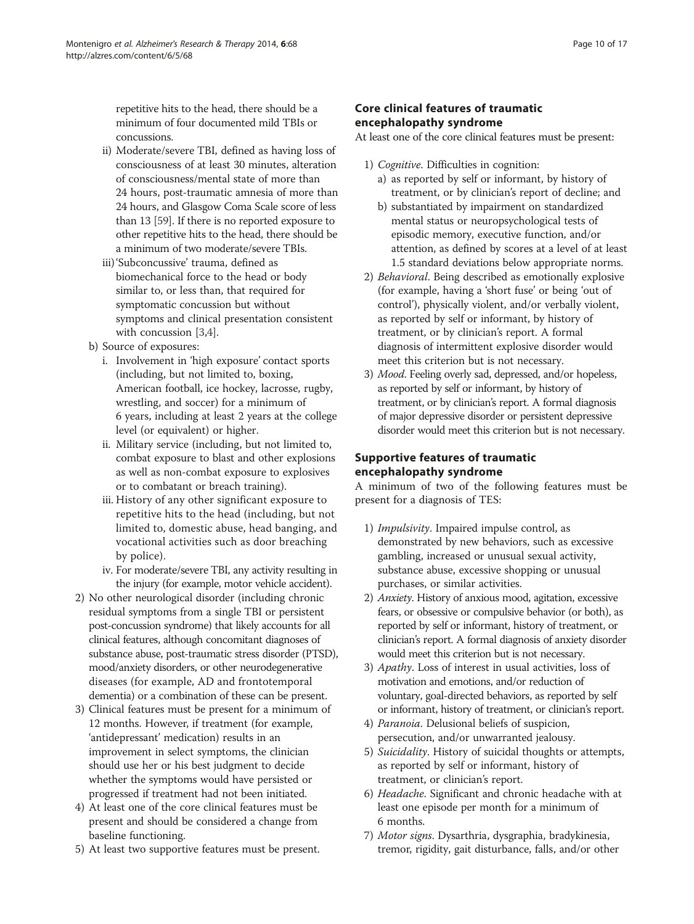repetitive hits to the head, there should be a minimum of four documented mild TBIs or concussions.

- ii) Moderate/severe TBI, defined as having loss of consciousness of at least 30 minutes, alteration of consciousness/mental state of more than 24 hours, post-traumatic amnesia of more than 24 hours, and Glasgow Coma Scale score of less than 13 [\[59\]](#page-16-0). If there is no reported exposure to other repetitive hits to the head, there should be a minimum of two moderate/severe TBIs.
- iii)'Subconcussive' trauma, defined as biomechanical force to the head or body similar to, or less than, that required for symptomatic concussion but without symptoms and clinical presentation consistent with concussion [[3,4\]](#page-15-0).
- b) Source of exposures:
	- i. Involvement in 'high exposure' contact sports (including, but not limited to, boxing, American football, ice hockey, lacrosse, rugby, wrestling, and soccer) for a minimum of 6 years, including at least 2 years at the college level (or equivalent) or higher.
	- ii. Military service (including, but not limited to, combat exposure to blast and other explosions as well as non-combat exposure to explosives or to combatant or breach training).
	- iii. History of any other significant exposure to repetitive hits to the head (including, but not limited to, domestic abuse, head banging, and vocational activities such as door breaching by police).
	- iv. For moderate/severe TBI, any activity resulting in the injury (for example, motor vehicle accident).
- 2) No other neurological disorder (including chronic residual symptoms from a single TBI or persistent post-concussion syndrome) that likely accounts for all clinical features, although concomitant diagnoses of substance abuse, post-traumatic stress disorder (PTSD), mood/anxiety disorders, or other neurodegenerative diseases (for example, AD and frontotemporal dementia) or a combination of these can be present.
- 3) Clinical features must be present for a minimum of 12 months. However, if treatment (for example, 'antidepressant' medication) results in an improvement in select symptoms, the clinician should use her or his best judgment to decide whether the symptoms would have persisted or progressed if treatment had not been initiated.
- 4) At least one of the core clinical features must be present and should be considered a change from baseline functioning.
- 5) At least two supportive features must be present.

# Core clinical features of traumatic encephalopathy syndrome

At least one of the core clinical features must be present:

- 1) Cognitive. Difficulties in cognition:
	- a) as reported by self or informant, by history of treatment, or by clinician's report of decline; and
	- b) substantiated by impairment on standardized mental status or neuropsychological tests of episodic memory, executive function, and/or attention, as defined by scores at a level of at least 1.5 standard deviations below appropriate norms.
- 2) Behavioral. Being described as emotionally explosive (for example, having a 'short fuse' or being 'out of control'), physically violent, and/or verbally violent, as reported by self or informant, by history of treatment, or by clinician's report. A formal diagnosis of intermittent explosive disorder would meet this criterion but is not necessary.
- 3) Mood. Feeling overly sad, depressed, and/or hopeless, as reported by self or informant, by history of treatment, or by clinician's report. A formal diagnosis of major depressive disorder or persistent depressive disorder would meet this criterion but is not necessary.

# Supportive features of traumatic encephalopathy syndrome

A minimum of two of the following features must be present for a diagnosis of TES:

- 1) Impulsivity. Impaired impulse control, as demonstrated by new behaviors, such as excessive gambling, increased or unusual sexual activity, substance abuse, excessive shopping or unusual purchases, or similar activities.
- 2) Anxiety. History of anxious mood, agitation, excessive fears, or obsessive or compulsive behavior (or both), as reported by self or informant, history of treatment, or clinician's report. A formal diagnosis of anxiety disorder would meet this criterion but is not necessary.
- 3) Apathy. Loss of interest in usual activities, loss of motivation and emotions, and/or reduction of voluntary, goal-directed behaviors, as reported by self or informant, history of treatment, or clinician's report.
- 4) Paranoia. Delusional beliefs of suspicion, persecution, and/or unwarranted jealousy.
- 5) Suicidality. History of suicidal thoughts or attempts, as reported by self or informant, history of treatment, or clinician's report.
- 6) Headache. Significant and chronic headache with at least one episode per month for a minimum of 6 months.
- 7) Motor signs. Dysarthria, dysgraphia, bradykinesia, tremor, rigidity, gait disturbance, falls, and/or other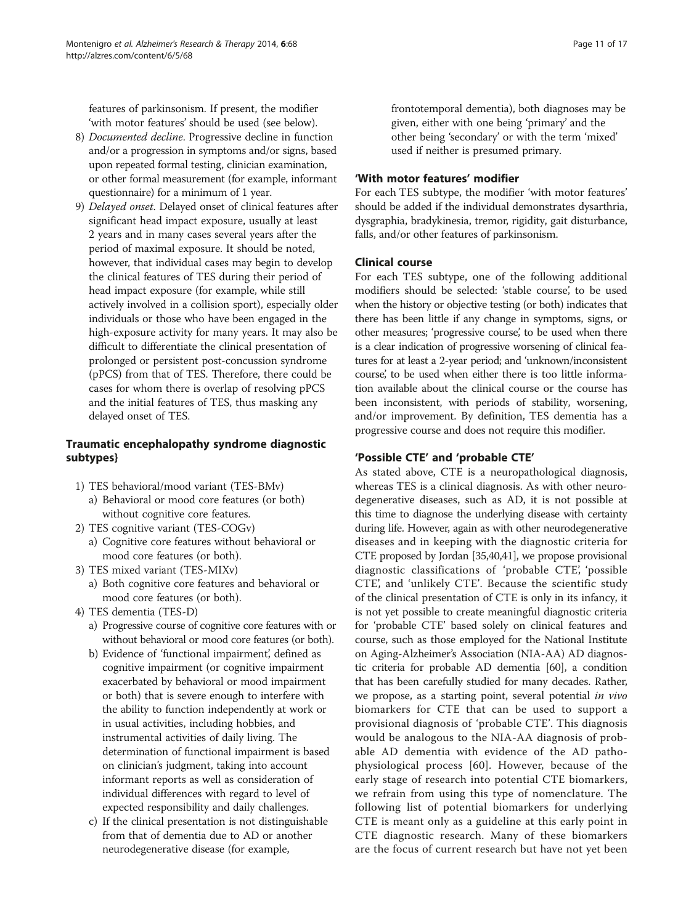features of parkinsonism. If present, the modifier 'with motor features' should be used (see below).

- 8) Documented decline. Progressive decline in function and/or a progression in symptoms and/or signs, based upon repeated formal testing, clinician examination, or other formal measurement (for example, informant questionnaire) for a minimum of 1 year.
- 9) Delayed onset. Delayed onset of clinical features after significant head impact exposure, usually at least 2 years and in many cases several years after the period of maximal exposure. It should be noted, however, that individual cases may begin to develop the clinical features of TES during their period of head impact exposure (for example, while still actively involved in a collision sport), especially older individuals or those who have been engaged in the high-exposure activity for many years. It may also be difficult to differentiate the clinical presentation of prolonged or persistent post-concussion syndrome (pPCS) from that of TES. Therefore, there could be cases for whom there is overlap of resolving pPCS and the initial features of TES, thus masking any delayed onset of TES.

# Traumatic encephalopathy syndrome diagnostic subtypes}

- 1) TES behavioral/mood variant (TES-BMv)
	- a) Behavioral or mood core features (or both) without cognitive core features.
- 2) TES cognitive variant (TES-COGv)
	- a) Cognitive core features without behavioral or mood core features (or both).
- 3) TES mixed variant (TES-MIXv)
	- a) Both cognitive core features and behavioral or mood core features (or both).
- 4) TES dementia (TES-D)
	- a) Progressive course of cognitive core features with or without behavioral or mood core features (or both).
	- b) Evidence of 'functional impairment', defined as cognitive impairment (or cognitive impairment exacerbated by behavioral or mood impairment or both) that is severe enough to interfere with the ability to function independently at work or in usual activities, including hobbies, and instrumental activities of daily living. The determination of functional impairment is based on clinician's judgment, taking into account informant reports as well as consideration of individual differences with regard to level of expected responsibility and daily challenges.
	- c) If the clinical presentation is not distinguishable from that of dementia due to AD or another neurodegenerative disease (for example,

frontotemporal dementia), both diagnoses may be given, either with one being 'primary' and the other being 'secondary' or with the term 'mixed' used if neither is presumed primary.

#### 'With motor features' modifier

For each TES subtype, the modifier 'with motor features' should be added if the individual demonstrates dysarthria, dysgraphia, bradykinesia, tremor, rigidity, gait disturbance, falls, and/or other features of parkinsonism.

## Clinical course

For each TES subtype, one of the following additional modifiers should be selected: 'stable course', to be used when the history or objective testing (or both) indicates that there has been little if any change in symptoms, signs, or other measures; 'progressive course', to be used when there is a clear indication of progressive worsening of clinical features for at least a 2-year period; and 'unknown/inconsistent course, to be used when either there is too little information available about the clinical course or the course has been inconsistent, with periods of stability, worsening, and/or improvement. By definition, TES dementia has a progressive course and does not require this modifier.

# 'Possible CTE' and 'probable CTE'

As stated above, CTE is a neuropathological diagnosis, whereas TES is a clinical diagnosis. As with other neurodegenerative diseases, such as AD, it is not possible at this time to diagnose the underlying disease with certainty during life. However, again as with other neurodegenerative diseases and in keeping with the diagnostic criteria for CTE proposed by Jordan [\[35,40,41](#page-16-0)], we propose provisional diagnostic classifications of 'probable CTE', 'possible CTE', and 'unlikely CTE'. Because the scientific study of the clinical presentation of CTE is only in its infancy, it is not yet possible to create meaningful diagnostic criteria for 'probable CTE' based solely on clinical features and course, such as those employed for the National Institute on Aging-Alzheimer's Association (NIA-AA) AD diagnostic criteria for probable AD dementia [[60](#page-16-0)], a condition that has been carefully studied for many decades. Rather, we propose, as a starting point, several potential in vivo biomarkers for CTE that can be used to support a provisional diagnosis of 'probable CTE'. This diagnosis would be analogous to the NIA-AA diagnosis of probable AD dementia with evidence of the AD pathophysiological process [[60](#page-16-0)]. However, because of the early stage of research into potential CTE biomarkers, we refrain from using this type of nomenclature. The following list of potential biomarkers for underlying CTE is meant only as a guideline at this early point in CTE diagnostic research. Many of these biomarkers are the focus of current research but have not yet been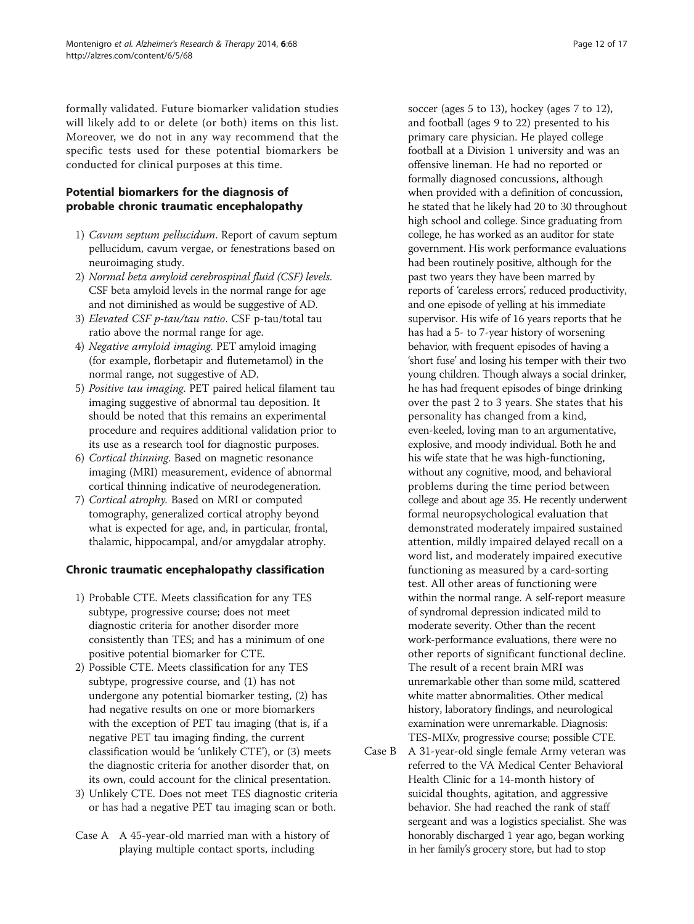formally validated. Future biomarker validation studies will likely add to or delete (or both) items on this list. Moreover, we do not in any way recommend that the specific tests used for these potential biomarkers be conducted for clinical purposes at this time.

# Potential biomarkers for the diagnosis of probable chronic traumatic encephalopathy

- 1) Cavum septum pellucidum. Report of cavum septum pellucidum, cavum vergae, or fenestrations based on neuroimaging study.
- 2) Normal beta amyloid cerebrospinal fluid (CSF) levels. CSF beta amyloid levels in the normal range for age and not diminished as would be suggestive of AD.
- 3) Elevated CSF p-tau/tau ratio. CSF p-tau/total tau ratio above the normal range for age.
- 4) Negative amyloid imaging. PET amyloid imaging (for example, florbetapir and flutemetamol) in the normal range, not suggestive of AD.
- 5) Positive tau imaging. PET paired helical filament tau imaging suggestive of abnormal tau deposition. It should be noted that this remains an experimental procedure and requires additional validation prior to its use as a research tool for diagnostic purposes.
- 6) Cortical thinning. Based on magnetic resonance imaging (MRI) measurement, evidence of abnormal cortical thinning indicative of neurodegeneration.
- 7) Cortical atrophy. Based on MRI or computed tomography, generalized cortical atrophy beyond what is expected for age, and, in particular, frontal, thalamic, hippocampal, and/or amygdalar atrophy.

# Chronic traumatic encephalopathy classification

- 1) Probable CTE. Meets classification for any TES subtype, progressive course; does not meet diagnostic criteria for another disorder more consistently than TES; and has a minimum of one positive potential biomarker for CTE.
- 2) Possible CTE. Meets classification for any TES subtype, progressive course, and (1) has not undergone any potential biomarker testing, (2) has had negative results on one or more biomarkers with the exception of PET tau imaging (that is, if a negative PET tau imaging finding, the current classification would be 'unlikely CTE'), or (3) meets the diagnostic criteria for another disorder that, on its own, could account for the clinical presentation.
- 3) Unlikely CTE. Does not meet TES diagnostic criteria or has had a negative PET tau imaging scan or both.
- Case A A 45-year-old married man with a history of playing multiple contact sports, including

soccer (ages 5 to 13), hockey (ages 7 to 12), and football (ages 9 to 22) presented to his primary care physician. He played college football at a Division 1 university and was an offensive lineman. He had no reported or formally diagnosed concussions, although when provided with a definition of concussion, he stated that he likely had 20 to 30 throughout high school and college. Since graduating from college, he has worked as an auditor for state government. His work performance evaluations had been routinely positive, although for the past two years they have been marred by reports of 'careless errors', reduced productivity, and one episode of yelling at his immediate supervisor. His wife of 16 years reports that he has had a 5- to 7-year history of worsening behavior, with frequent episodes of having a 'short fuse' and losing his temper with their two young children. Though always a social drinker, he has had frequent episodes of binge drinking over the past 2 to 3 years. She states that his personality has changed from a kind, even-keeled, loving man to an argumentative, explosive, and moody individual. Both he and his wife state that he was high-functioning, without any cognitive, mood, and behavioral problems during the time period between college and about age 35. He recently underwent formal neuropsychological evaluation that demonstrated moderately impaired sustained attention, mildly impaired delayed recall on a word list, and moderately impaired executive functioning as measured by a card-sorting test. All other areas of functioning were within the normal range. A self-report measure of syndromal depression indicated mild to moderate severity. Other than the recent work-performance evaluations, there were no other reports of significant functional decline. The result of a recent brain MRI was unremarkable other than some mild, scattered white matter abnormalities. Other medical history, laboratory findings, and neurological examination were unremarkable. Diagnosis: TES-MIXv, progressive course; possible CTE.

Case B A 31-year-old single female Army veteran was referred to the VA Medical Center Behavioral Health Clinic for a 14-month history of suicidal thoughts, agitation, and aggressive behavior. She had reached the rank of staff sergeant and was a logistics specialist. She was honorably discharged 1 year ago, began working in her family's grocery store, but had to stop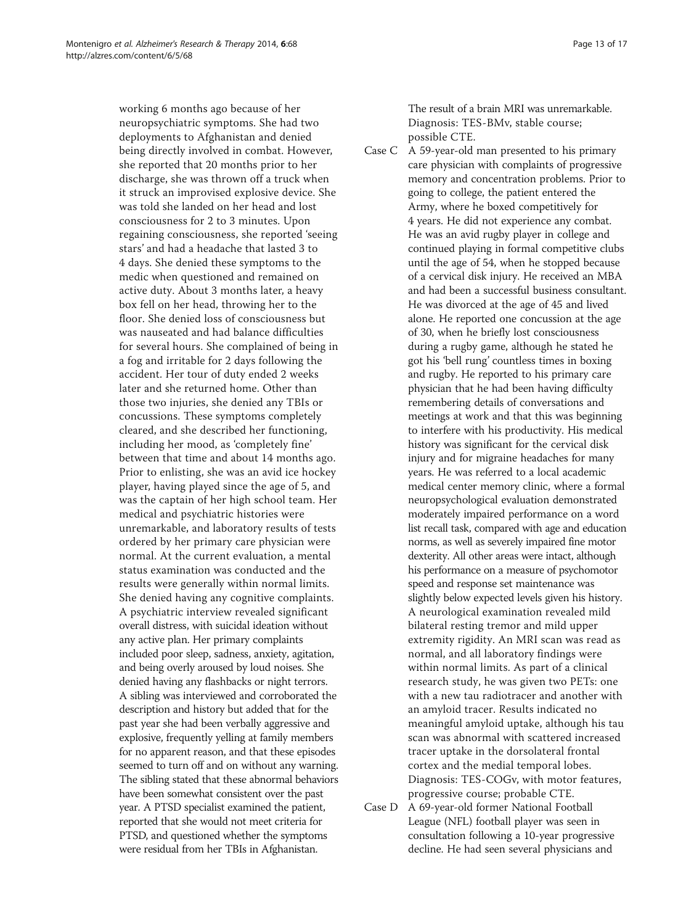working 6 months ago because of her neuropsychiatric symptoms. She had two deployments to Afghanistan and denied being directly involved in combat. However, she reported that 20 months prior to her discharge, she was thrown off a truck when it struck an improvised explosive device. She was told she landed on her head and lost consciousness for 2 to 3 minutes. Upon regaining consciousness, she reported 'seeing stars' and had a headache that lasted 3 to 4 days. She denied these symptoms to the medic when questioned and remained on active duty. About 3 months later, a heavy box fell on her head, throwing her to the floor. She denied loss of consciousness but was nauseated and had balance difficulties for several hours. She complained of being in a fog and irritable for 2 days following the accident. Her tour of duty ended 2 weeks later and she returned home. Other than those two injuries, she denied any TBIs or concussions. These symptoms completely cleared, and she described her functioning, including her mood, as 'completely fine' between that time and about 14 months ago. Prior to enlisting, she was an avid ice hockey player, having played since the age of 5, and was the captain of her high school team. Her medical and psychiatric histories were unremarkable, and laboratory results of tests ordered by her primary care physician were normal. At the current evaluation, a mental status examination was conducted and the results were generally within normal limits. She denied having any cognitive complaints. A psychiatric interview revealed significant overall distress, with suicidal ideation without any active plan. Her primary complaints included poor sleep, sadness, anxiety, agitation, and being overly aroused by loud noises. She denied having any flashbacks or night terrors. A sibling was interviewed and corroborated the description and history but added that for the past year she had been verbally aggressive and explosive, frequently yelling at family members for no apparent reason, and that these episodes seemed to turn off and on without any warning. The sibling stated that these abnormal behaviors have been somewhat consistent over the past year. A PTSD specialist examined the patient, reported that she would not meet criteria for PTSD, and questioned whether the symptoms were residual from her TBIs in Afghanistan.

The result of a brain MRI was unremarkable. Diagnosis: TES-BMv, stable course; possible CTE.

- Case C A 59-year-old man presented to his primary care physician with complaints of progressive memory and concentration problems. Prior to going to college, the patient entered the Army, where he boxed competitively for 4 years. He did not experience any combat. He was an avid rugby player in college and continued playing in formal competitive clubs until the age of 54, when he stopped because of a cervical disk injury. He received an MBA and had been a successful business consultant. He was divorced at the age of 45 and lived alone. He reported one concussion at the age of 30, when he briefly lost consciousness during a rugby game, although he stated he got his 'bell rung' countless times in boxing and rugby. He reported to his primary care physician that he had been having difficulty remembering details of conversations and meetings at work and that this was beginning to interfere with his productivity. His medical history was significant for the cervical disk injury and for migraine headaches for many years. He was referred to a local academic medical center memory clinic, where a formal neuropsychological evaluation demonstrated moderately impaired performance on a word list recall task, compared with age and education norms, as well as severely impaired fine motor dexterity. All other areas were intact, although his performance on a measure of psychomotor speed and response set maintenance was slightly below expected levels given his history. A neurological examination revealed mild bilateral resting tremor and mild upper extremity rigidity. An MRI scan was read as normal, and all laboratory findings were within normal limits. As part of a clinical research study, he was given two PETs: one with a new tau radiotracer and another with an amyloid tracer. Results indicated no meaningful amyloid uptake, although his tau scan was abnormal with scattered increased tracer uptake in the dorsolateral frontal cortex and the medial temporal lobes. Diagnosis: TES-COGv, with motor features, progressive course; probable CTE. Case D A 69-year-old former National Football
	- League (NFL) football player was seen in consultation following a 10-year progressive decline. He had seen several physicians and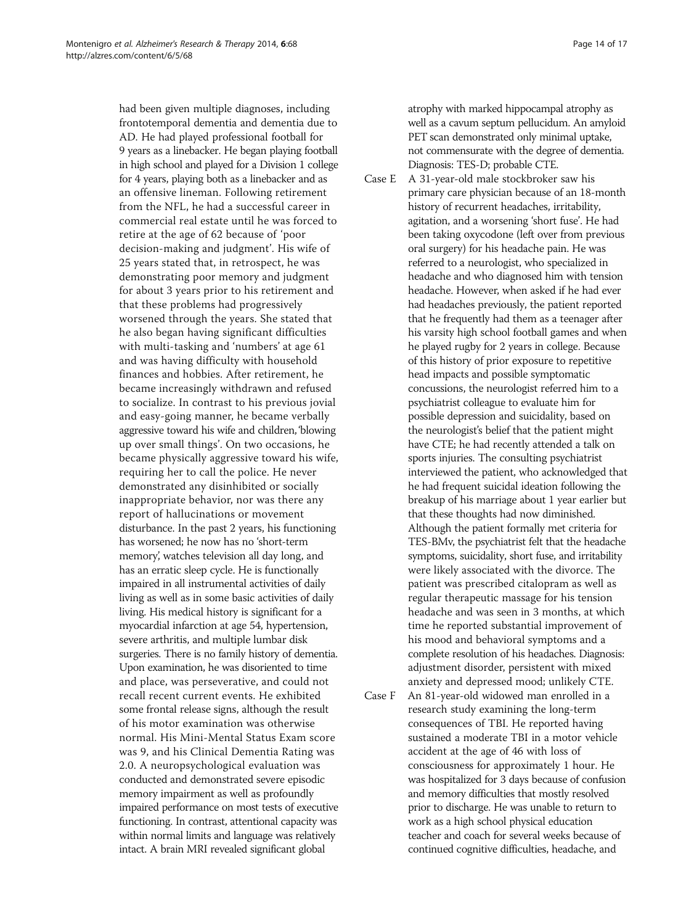had been given multiple diagnoses, including frontotemporal dementia and dementia due to AD. He had played professional football for 9 years as a linebacker. He began playing football in high school and played for a Division 1 college for 4 years, playing both as a linebacker and as an offensive lineman. Following retirement from the NFL, he had a successful career in commercial real estate until he was forced to retire at the age of 62 because of 'poor decision-making and judgment'. His wife of 25 years stated that, in retrospect, he was demonstrating poor memory and judgment for about 3 years prior to his retirement and that these problems had progressively worsened through the years. She stated that he also began having significant difficulties with multi-tasking and 'numbers' at age 61 and was having difficulty with household finances and hobbies. After retirement, he became increasingly withdrawn and refused to socialize. In contrast to his previous jovial and easy-going manner, he became verbally aggressive toward his wife and children, 'blowing up over small things'. On two occasions, he became physically aggressive toward his wife, requiring her to call the police. He never demonstrated any disinhibited or socially inappropriate behavior, nor was there any report of hallucinations or movement disturbance. In the past 2 years, his functioning has worsened; he now has no 'short-term memory', watches television all day long, and has an erratic sleep cycle. He is functionally impaired in all instrumental activities of daily living as well as in some basic activities of daily living. His medical history is significant for a myocardial infarction at age 54, hypertension, severe arthritis, and multiple lumbar disk surgeries. There is no family history of dementia. Upon examination, he was disoriented to time and place, was perseverative, and could not recall recent current events. He exhibited some frontal release signs, although the result of his motor examination was otherwise normal. His Mini-Mental Status Exam score was 9, and his Clinical Dementia Rating was 2.0. A neuropsychological evaluation was conducted and demonstrated severe episodic memory impairment as well as profoundly impaired performance on most tests of executive functioning. In contrast, attentional capacity was within normal limits and language was relatively intact. A brain MRI revealed significant global

atrophy with marked hippocampal atrophy as well as a cavum septum pellucidum. An amyloid PET scan demonstrated only minimal uptake, not commensurate with the degree of dementia. Diagnosis: TES-D; probable CTE.

Case E A 31-year-old male stockbroker saw his primary care physician because of an 18-month history of recurrent headaches, irritability, agitation, and a worsening 'short fuse'. He had been taking oxycodone (left over from previous oral surgery) for his headache pain. He was referred to a neurologist, who specialized in headache and who diagnosed him with tension headache. However, when asked if he had ever had headaches previously, the patient reported that he frequently had them as a teenager after his varsity high school football games and when he played rugby for 2 years in college. Because of this history of prior exposure to repetitive head impacts and possible symptomatic concussions, the neurologist referred him to a psychiatrist colleague to evaluate him for possible depression and suicidality, based on the neurologist's belief that the patient might have CTE; he had recently attended a talk on sports injuries. The consulting psychiatrist interviewed the patient, who acknowledged that he had frequent suicidal ideation following the breakup of his marriage about 1 year earlier but that these thoughts had now diminished. Although the patient formally met criteria for TES-BMv, the psychiatrist felt that the headache symptoms, suicidality, short fuse, and irritability were likely associated with the divorce. The patient was prescribed citalopram as well as regular therapeutic massage for his tension headache and was seen in 3 months, at which time he reported substantial improvement of his mood and behavioral symptoms and a complete resolution of his headaches. Diagnosis: adjustment disorder, persistent with mixed anxiety and depressed mood; unlikely CTE.

Case F An 81-year-old widowed man enrolled in a research study examining the long-term consequences of TBI. He reported having sustained a moderate TBI in a motor vehicle accident at the age of 46 with loss of consciousness for approximately 1 hour. He was hospitalized for 3 days because of confusion and memory difficulties that mostly resolved prior to discharge. He was unable to return to work as a high school physical education teacher and coach for several weeks because of continued cognitive difficulties, headache, and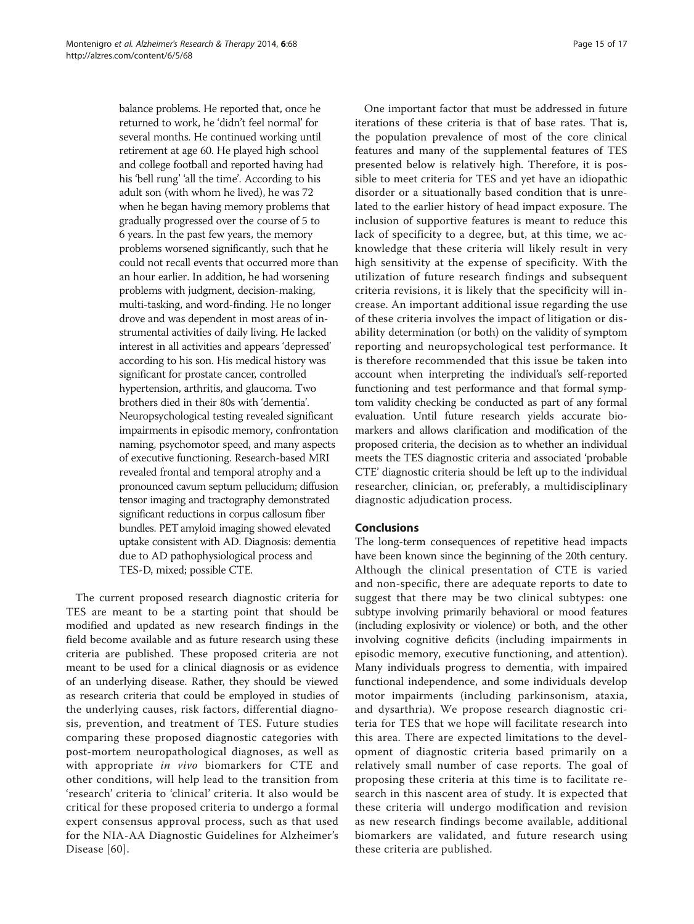balance problems. He reported that, once he returned to work, he 'didn't feel normal' for several months. He continued working until retirement at age 60. He played high school and college football and reported having had his 'bell rung' 'all the time'. According to his adult son (with whom he lived), he was 72 when he began having memory problems that gradually progressed over the course of 5 to 6 years. In the past few years, the memory problems worsened significantly, such that he could not recall events that occurred more than an hour earlier. In addition, he had worsening problems with judgment, decision-making, multi-tasking, and word-finding. He no longer drove and was dependent in most areas of instrumental activities of daily living. He lacked interest in all activities and appears 'depressed' according to his son. His medical history was significant for prostate cancer, controlled hypertension, arthritis, and glaucoma. Two brothers died in their 80s with 'dementia'. Neuropsychological testing revealed significant impairments in episodic memory, confrontation naming, psychomotor speed, and many aspects of executive functioning. Research-based MRI revealed frontal and temporal atrophy and a pronounced cavum septum pellucidum; diffusion tensor imaging and tractography demonstrated significant reductions in corpus callosum fiber bundles. PET amyloid imaging showed elevated uptake consistent with AD. Diagnosis: dementia due to AD pathophysiological process and TES-D, mixed; possible CTE.

The current proposed research diagnostic criteria for TES are meant to be a starting point that should be modified and updated as new research findings in the field become available and as future research using these criteria are published. These proposed criteria are not meant to be used for a clinical diagnosis or as evidence of an underlying disease. Rather, they should be viewed as research criteria that could be employed in studies of the underlying causes, risk factors, differential diagnosis, prevention, and treatment of TES. Future studies comparing these proposed diagnostic categories with post-mortem neuropathological diagnoses, as well as with appropriate in vivo biomarkers for CTE and other conditions, will help lead to the transition from 'research' criteria to 'clinical' criteria. It also would be critical for these proposed criteria to undergo a formal expert consensus approval process, such as that used for the NIA-AA Diagnostic Guidelines for Alzheimer's Disease [[60](#page-16-0)].

One important factor that must be addressed in future iterations of these criteria is that of base rates. That is, the population prevalence of most of the core clinical features and many of the supplemental features of TES presented below is relatively high. Therefore, it is possible to meet criteria for TES and yet have an idiopathic disorder or a situationally based condition that is unrelated to the earlier history of head impact exposure. The inclusion of supportive features is meant to reduce this lack of specificity to a degree, but, at this time, we acknowledge that these criteria will likely result in very high sensitivity at the expense of specificity. With the utilization of future research findings and subsequent criteria revisions, it is likely that the specificity will increase. An important additional issue regarding the use of these criteria involves the impact of litigation or disability determination (or both) on the validity of symptom reporting and neuropsychological test performance. It is therefore recommended that this issue be taken into account when interpreting the individual's self-reported functioning and test performance and that formal symptom validity checking be conducted as part of any formal evaluation. Until future research yields accurate biomarkers and allows clarification and modification of the proposed criteria, the decision as to whether an individual meets the TES diagnostic criteria and associated 'probable CTE' diagnostic criteria should be left up to the individual researcher, clinician, or, preferably, a multidisciplinary diagnostic adjudication process.

## Conclusions

The long-term consequences of repetitive head impacts have been known since the beginning of the 20th century. Although the clinical presentation of CTE is varied and non-specific, there are adequate reports to date to suggest that there may be two clinical subtypes: one subtype involving primarily behavioral or mood features (including explosivity or violence) or both, and the other involving cognitive deficits (including impairments in episodic memory, executive functioning, and attention). Many individuals progress to dementia, with impaired functional independence, and some individuals develop motor impairments (including parkinsonism, ataxia, and dysarthria). We propose research diagnostic criteria for TES that we hope will facilitate research into this area. There are expected limitations to the development of diagnostic criteria based primarily on a relatively small number of case reports. The goal of proposing these criteria at this time is to facilitate research in this nascent area of study. It is expected that these criteria will undergo modification and revision as new research findings become available, additional biomarkers are validated, and future research using these criteria are published.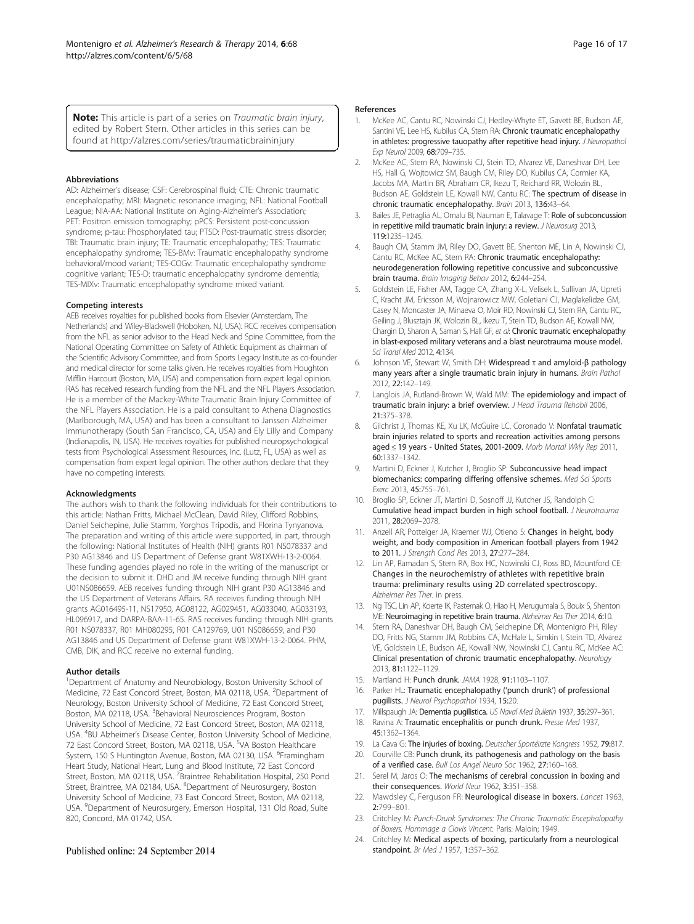<span id="page-15-0"></span>Note: This article is part of a series on Traumatic brain injury, edited by Robert Stern. Other articles in this series can be found at<http://alzres.com/series/traumaticbraininjury>

#### Abbreviations

AD: Alzheimer's disease; CSF: Cerebrospinal fluid; CTE: Chronic traumatic encephalopathy; MRI: Magnetic resonance imaging; NFL: National Football League; NIA-AA: National Institute on Aging-Alzheimer's Association; PET: Positron emission tomography; pPCS: Persistent post-concussion syndrome; p-tau: Phosphorylated tau; PTSD: Post-traumatic stress disorder; TBI: Traumatic brain injury; TE: Traumatic encephalopathy; TES: Traumatic encephalopathy syndrome; TES-BMv: Traumatic encephalopathy syndrome behavioral/mood variant; TES-COGv: Traumatic encephalopathy syndrome cognitive variant; TES-D: traumatic encephalopathy syndrome dementia; TES-MIXv: Traumatic encephalopathy syndrome mixed variant.

#### Competing interests

AEB receives royalties for published books from Elsevier (Amsterdam, The Netherlands) and Wiley-Blackwell (Hoboken, NJ, USA). RCC receives compensation from the NFL as senior advisor to the Head Neck and Spine Committee, from the National Operating Committee on Safety of Athletic Equipment as chairman of the Scientific Advisory Committee, and from Sports Legacy Institute as co-founder and medical director for some talks given. He receives royalties from Houghton Mifflin Harcourt (Boston, MA, USA) and compensation from expert legal opinion. RAS has received research funding from the NFL and the NFL Players Association. He is a member of the Mackey-White Traumatic Brain Injury Committee of the NFL Players Association. He is a paid consultant to Athena Diagnostics (Marlborough, MA, USA) and has been a consultant to Janssen Alzheimer Immunotherapy (South San Francisco, CA, USA) and Ely Lilly and Company (Indianapolis, IN, USA). He receives royalties for published neuropsychological tests from Psychological Assessment Resources, Inc. (Lutz, FL, USA) as well as compensation from expert legal opinion. The other authors declare that they have no competing interests.

#### Acknowledgments

The authors wish to thank the following individuals for their contributions to this article: Nathan Fritts, Michael McClean, David Riley, Clifford Robbins, Daniel Seichepine, Julie Stamm, Yorghos Tripodis, and Florina Tynyanova. The preparation and writing of this article were supported, in part, through the following: National Institutes of Health (NIH) grants R01 NS078337 and P30 AG13846 and US Department of Defense grant W81XWH-13-2-0064. These funding agencies played no role in the writing of the manuscript or the decision to submit it. DHD and JM receive funding through NIH grant U01NS086659. AEB receives funding through NIH grant P30 AG13846 and the US Department of Veterans Affairs. RA receives funding through NIH grants AG016495-11, NS17950, AG08122, AG029451, AG033040, AG033193, HL096917, and DARPA-BAA-11-65. RAS receives funding through NIH grants R01 NS078337, R01 MH080295, R01 CA129769, U01 NS086659, and P30 AG13846 and US Department of Defense grant W81XWH-13-2-0064. PHM, CMB, DIK, and RCC receive no external funding.

#### Author details

<sup>1</sup>Department of Anatomy and Neurobiology, Boston University School of Medicine, 72 East Concord Street, Boston, MA 02118, USA. <sup>2</sup>Department of Neurology, Boston University School of Medicine, 72 East Concord Street, Boston, MA 02118, USA. <sup>3</sup>Behavioral Neurosciences Program, Boston University School of Medicine, 72 East Concord Street, Boston, MA 02118, USA. <sup>4</sup>BU Alzheimer's Disease Center, Boston University School of Medicine, 72 East Concord Street, Boston, MA 02118, USA. <sup>5</sup>VA Boston Healthcare System, 150 S Huntington Avenue, Boston, MA 02130, USA. <sup>6</sup>Framingham Heart Study, National Heart, Lung and Blood Institute, 72 East Concord Street, Boston, MA 02118, USA. <sup>7</sup>Braintree Rehabilitation Hospital, 250 Pond Street, Braintree, MA 02184, USA. <sup>8</sup>Department of Neurosurgery, Boston University School of Medicine, 73 East Concord Street, Boston, MA 02118, USA. <sup>9</sup>Department of Neurosurgery, Emerson Hospital, 131 Old Road, Suite 820, Concord, MA 01742, USA.

#### Published online: 24 September 2014

#### References

- 1. McKee AC, Cantu RC, Nowinski CJ, Hedley-Whyte ET, Gavett BE, Budson AE, Santini VE, Lee HS, Kubilus CA, Stern RA: Chronic traumatic encephalopathy in athletes: progressive tauopathy after repetitive head injury. J Neuropathol Exp Neurol 2009, 68:709–735.
- 2. McKee AC, Stern RA, Nowinski CJ, Stein TD, Alvarez VE, Daneshvar DH, Lee HS, Hall G, Wojtowicz SM, Baugh CM, Riley DO, Kubilus CA, Cormier KA, Jacobs MA, Martin BR, Abraham CR, Ikezu T, Reichard RR, Wolozin BL, Budson AE, Goldstein LE, Kowall NW, Cantu RC: The spectrum of disease in chronic traumatic encephalopathy. Brain 2013, 136:43–64.
- Bailes JE, Petraglia AL, Omalu BI, Nauman E, Talavage T: Role of subconcussion in repetitive mild traumatic brain injury: a review. J Neurosurg 2013, 119:1235–1245.
- 4. Baugh CM, Stamm JM, Riley DO, Gavett BE, Shenton ME, Lin A, Nowinski CJ, Cantu RC, McKee AC, Stern RA: Chronic traumatic encephalopathy: neurodegeneration following repetitive concussive and subconcussive brain trauma. Brain Imaging Behav 2012, 6:244–254.
- 5. Goldstein LE, Fisher AM, Tagge CA, Zhang X-L, Velisek L, Sullivan JA, Upreti C, Kracht JM, Ericsson M, Wojnarowicz MW, Goletiani CJ, Maglakelidze GM, Casey N, Moncaster JA, Minaeva O, Moir RD, Nowinski CJ, Stern RA, Cantu RC, Geiling J, Blusztajn JK, Wolozin BL, Ikezu T, Stein TD, Budson AE, Kowall NW, Chargin D, Sharon A, Saman S, Hall GF, et al: Chronic traumatic encephalopathy in blast-exposed military veterans and a blast neurotrauma mouse model. Sci Transl Med 2012, 4:134.
- Johnson VE, Stewart W, Smith DH: Widespread τ and amyloid-β pathology many years after a single traumatic brain injury in humans. Brain Pathol 2012, 22:142–149.
- 7. Langlois JA, Rutland-Brown W, Wald MM: The epidemiology and impact of traumatic brain injury: a brief overview. J Head Trauma Rehabil 2006, 21:375–378.
- 8. Gilchrist J, Thomas KE, Xu LK, McGuire LC, Coronado V: Nonfatal traumatic brain injuries related to sports and recreation activities among persons aged ≤ 19 years - United States, 2001-2009. Morb Mortal Wkly Rep 2011, 60:1337–1342.
- 9. Martini D, Eckner J, Kutcher J, Broglio SP: Subconcussive head impact biomechanics: comparing differing offensive schemes. Med Sci Sports Exerc 2013, 45:755–761.
- 10. Broglio SP, Eckner JT, Martini D, Sosnoff JJ, Kutcher JS, Randolph C: Cumulative head impact burden in high school football. J Neurotrauma 2011, 28:2069–2078.
- 11. Anzell AR, Potteiger JA, Kraemer WJ, Otieno S: Changes in height, body weight, and body composition in American football players from 1942 to 2011. J Strength Cond Res 2013, 27:277–284.
- 12. Lin AP, Ramadan S, Stern RA, Box HC, Nowinski CJ, Ross BD, Mountford CE: Changes in the neurochemistry of athletes with repetitive brain trauma: preliminary results using 2D correlated spectroscopy. Alzheimer Res Ther. in press.
- 13. Ng TSC, Lin AP, Koerte IK, Pasternak O, Hiao H, Merugumala S, Bouix S, Shenton ME: Neuroimaging in repetitive brain trauma. Alzheimer Res Ther 2014, 6:10.
- 14. Stern RA, Daneshvar DH, Baugh CM, Seichepine DR, Montenigro PH, Riley DO, Fritts NG, Stamm JM, Robbins CA, McHale L, Simkin I, Stein TD, Alvarez VE, Goldstein LE, Budson AE, Kowall NW, Nowinski CJ, Cantu RC, McKee AC: Clinical presentation of chronic traumatic encephalopathy. Neurology 2013, 81:1122–1129.
- 15. Martland H: Punch drunk. JAMA 1928, 91:1103–1107.
- 16. Parker HL: Traumatic encephalopathy ('punch drunk') of professional pugilists. J Neurol Psychopathol 1934, 15:20.
- 17. Millspaugh JA: Dementia pugilistica. US Naval Med Bulletin 1937, 35:297-361.
- 18. Ravina A: Traumatic encephalitis or punch drunk. Presse Med 1937, 45:1362–1364.
- 19. La Cava G: The injuries of boxing. Deutscher Sportéirzte Kongress 1952, 79:817.
- 20. Courville CB: Punch drunk, its pathogenesis and pathology on the basis of a verified case. Bull Los Angel Neuro Soc 1962, 27:160–168.
- 21. Serel M, Jaros O: The mechanisms of cerebral concussion in boxing and their consequences. World Neur 1962, 3:351–358.
- 22. Mawdsley C, Ferguson FR: Neurological disease in boxers. Lancet 1963, 2:799–801.
- 23. Critchley M: Punch-Drunk Syndromes: The Chronic Traumatic Encephalopathy of Boxers. Hommage a Clovis Vincent. Paris: Maloin; 1949.
- 24. Critchley M: Medical aspects of boxing, particularly from a neurological standpoint. Br Med J 1957, 1:357-362.